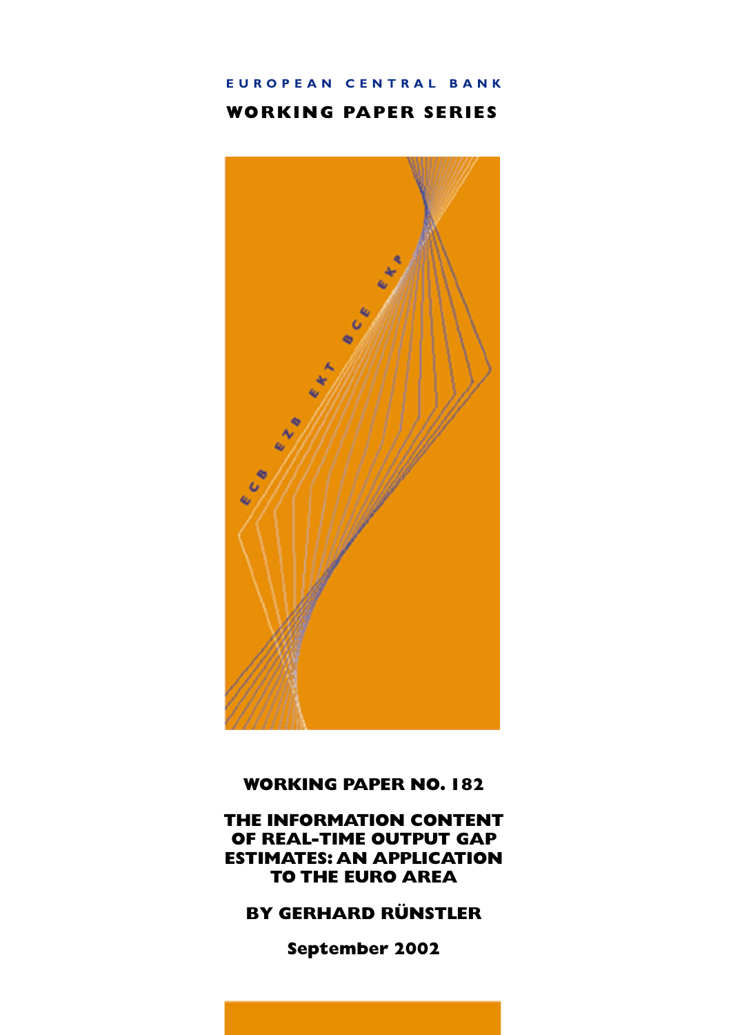# EUROPEAN CENTRAL BANK

## **WORKING PAPER SERIES**



## **WORKING PAPER NO. 182**

THE INFORMATION CONTENT OF REAL-TIME OUTPUT GAP **ESTIMATES: AN APPLICATION TO THE EURO AREA** 

# **BY GERHARD RÜNSTLER**

September 2002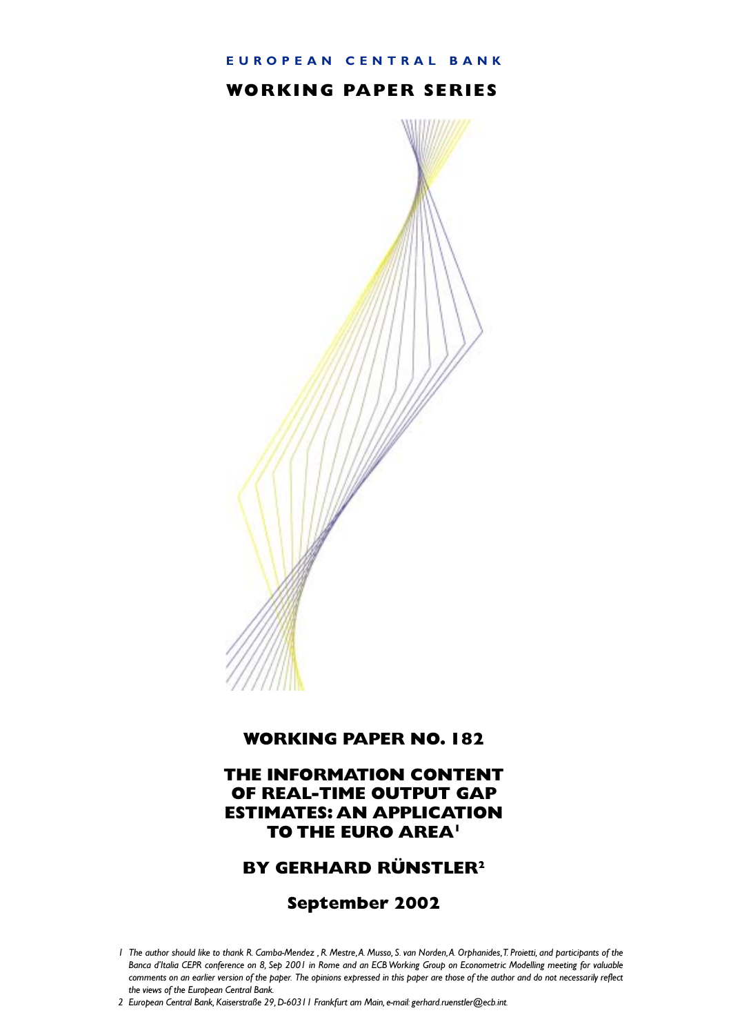### EUROPEAN CENTRAL BANK

## **WORKING PAPER SERIES**



## **WORKING PAPER NO. 182**

## THE INFORMATION CONTENT OF REAL-TIME OUTPUT GAP **ESTIMATES: AN APPLICATION TO THE EURO AREA!**

## **BY GERHARD RÜNSTLER<sup>2</sup>**

## September 2002

I The author should like to thank R. Camba-Mendez , R. Mestre, A. Musso, S. van Norden, A. Orphanides, T. Proietti, and participants of the Banca d'Italia CEPR conference on 8, Sep 2001 in Rome and an ECB Working Group on Econometric Modelling meeting for valuable comments on an earlier version of the paper. The opinions expressed in this paper are those of the author and do not necessarily reflect the views of the European Central Bank.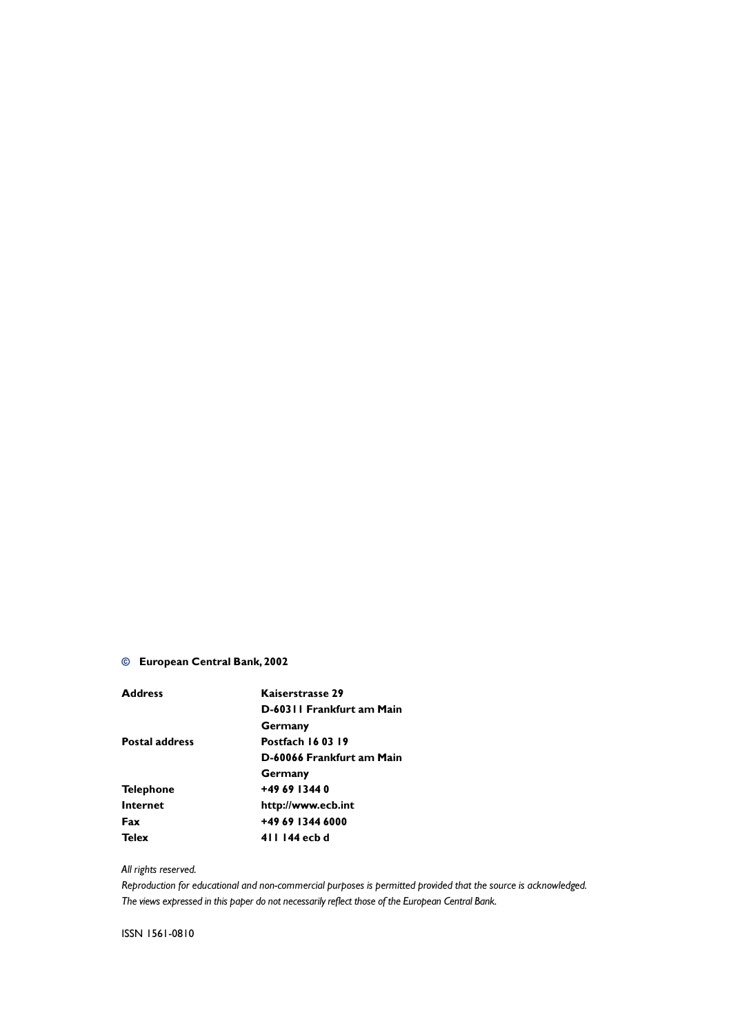### © European Central Bank, 2002

| <b>Address</b>        | Kaiserstrasse 29          |
|-----------------------|---------------------------|
|                       | D-60311 Frankfurt am Main |
|                       | Germany                   |
| <b>Postal address</b> | <b>Postfach 160319</b>    |
|                       | D-60066 Frankfurt am Main |
|                       | Germany                   |
| <b>Telephone</b>      | +49 69 1344 0             |
| <b>Internet</b>       | http://www.ecb.int        |
| Fax                   | +49 69 1344 6000          |
| <b>Telex</b>          | 411 144 ecb d             |

### All rights reserved.

Reproduction for educational and non-commercial purposes is permitted provided that the source is acknowledged. The views expressed in this paper do not necessarily reflect those of the European Central Bank.

ISSN 1561-0810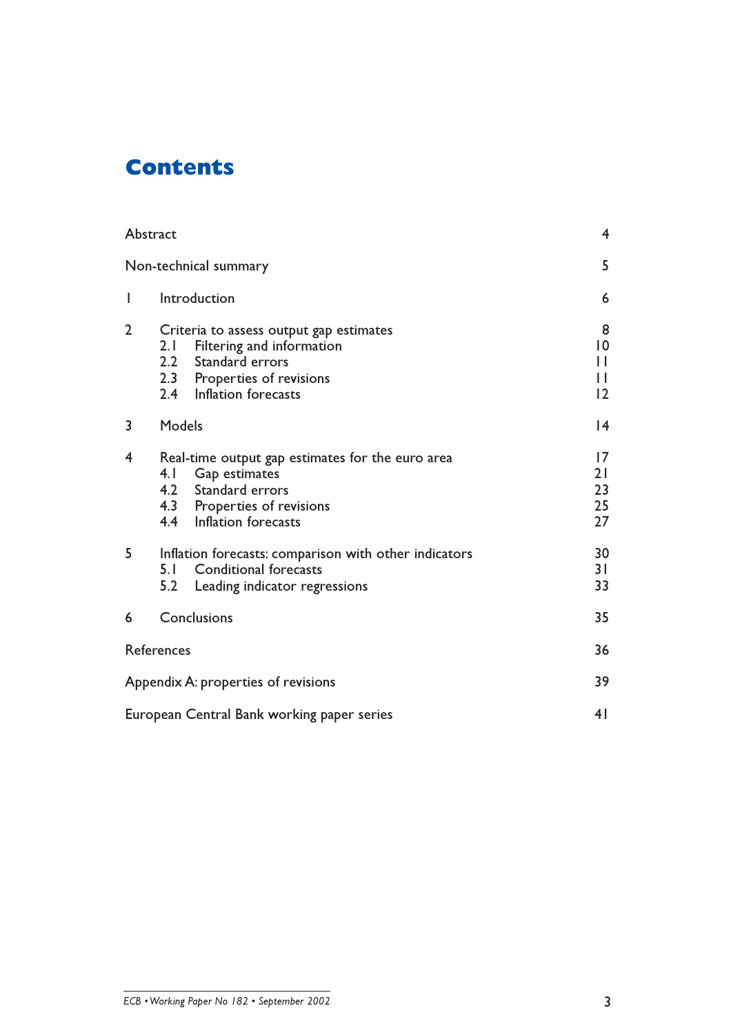# **Contents**

|                | Abstract                                                                                                                                                     | $\overline{4}$                            |
|----------------|--------------------------------------------------------------------------------------------------------------------------------------------------------------|-------------------------------------------|
|                | Non-technical summary                                                                                                                                        | 5                                         |
| I              | Introduction                                                                                                                                                 | 6                                         |
| $\overline{2}$ | Criteria to assess output gap estimates<br>Filtering and information<br>2.1<br>2.2 Standard errors<br>2.3 Properties of revisions<br>2.4 Inflation forecasts | 8<br>$ 0\rangle$<br>П<br>Ш<br>$ 2\rangle$ |
| 3              | Models                                                                                                                                                       | 4                                         |
| 4              | Real-time output gap estimates for the euro area<br>Gap estimates<br>4.1<br>4.2 Standard errors<br>4.3 Properties of revisions<br>4.4 Inflation forecasts    | $\overline{17}$<br>21<br>23<br>25<br>27   |
| 5              | Inflation forecasts: comparison with other indicators<br>5.1 Conditional forecasts<br>5.2<br>Leading indicator regressions                                   | 30<br>31<br>33                            |
| 6              | Conclusions                                                                                                                                                  | 35                                        |
|                | References                                                                                                                                                   | 36                                        |
|                | Appendix A: properties of revisions                                                                                                                          | 39                                        |
|                | European Central Bank working paper series                                                                                                                   | 4 <sub>1</sub>                            |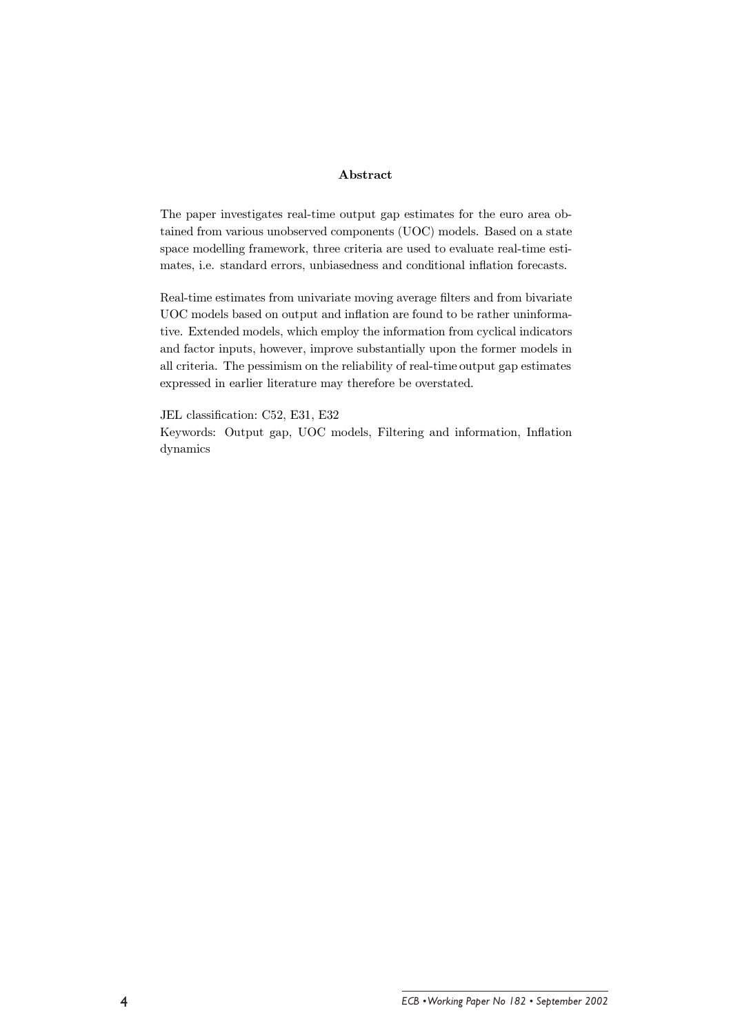### Abstract

The paper investigates real-time output gap estimates for the euro area obtained from various unobserved components (UOC) models. Based on a state space modelling framework, three criteria are used to evaluate real-time estimates, i.e. standard errors, unbiasedness and conditional inflation forecasts.

Real-time estimates from univariate moving average filters and from bivariate UOC models based on output and inflation are found to be rather uninformative. Extended models, which employ the information from cyclical indicators and factor inputs, however, improve substantially upon the former models in all criteria. The pessimism on the reliability of real-time output gap estimates expressed in earlier literature may therefore be overstated.

JEL classification: C52, E31, E32 Keywords: Output gap, UOC models, Filtering and information, Inflation dynamics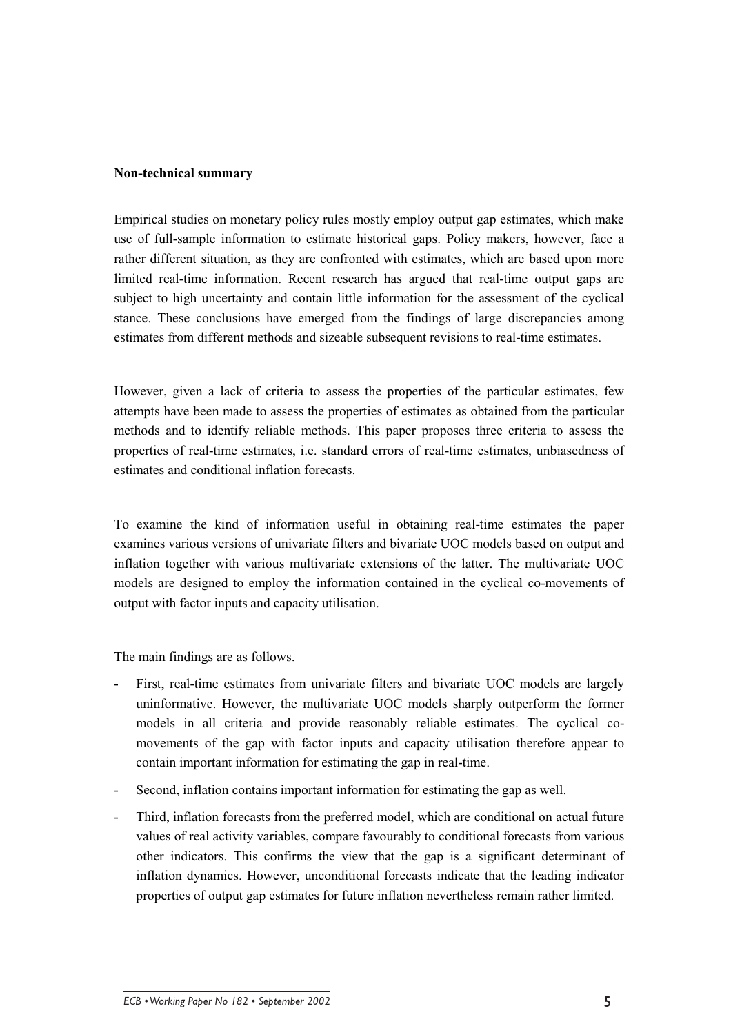### **Non-technical summary**

Empirical studies on monetary policy rules mostly employ output gap estimates, which make use of full-sample information to estimate historical gaps. Policy makers, however, face a rather different situation, as they are confronted with estimates, which are based upon more limited real-time information. Recent research has argued that real-time output gaps are subject to high uncertainty and contain little information for the assessment of the cyclical stance. These conclusions have emerged from the findings of large discrepancies among estimates from different methods and sizeable subsequent revisions to real-time estimates.

However, given a lack of criteria to assess the properties of the particular estimates, few attempts have been made to assess the properties of estimates as obtained from the particular methods and to identify reliable methods. This paper proposes three criteria to assess the properties of real-time estimates, i.e. standard errors of real-time estimates, unbiasedness of estimates and conditional inflation forecasts.

To examine the kind of information useful in obtaining real-time estimates the paper examines various versions of univariate filters and bivariate UOC models based on output and inflation together with various multivariate extensions of the latter. The multivariate UOC models are designed to employ the information contained in the cyclical co-movements of output with factor inputs and capacity utilisation.

The main findings are as follows.

- First, real-time estimates from univariate filters and bivariate UOC models are largely uninformative. However, the multivariate UOC models sharply outperform the former models in all criteria and provide reasonably reliable estimates. The cyclical comovements of the gap with factor inputs and capacity utilisation therefore appear to contain important information for estimating the gap in real-time.
- Second, inflation contains important information for estimating the gap as well.
- Third, inflation forecasts from the preferred model, which are conditional on actual future values of real activity variables, compare favourably to conditional forecasts from various other indicators. This confirms the view that the gap is a significant determinant of inflation dynamics. However, unconditional forecasts indicate that the leading indicator properties of output gap estimates for future inflation nevertheless remain rather limited.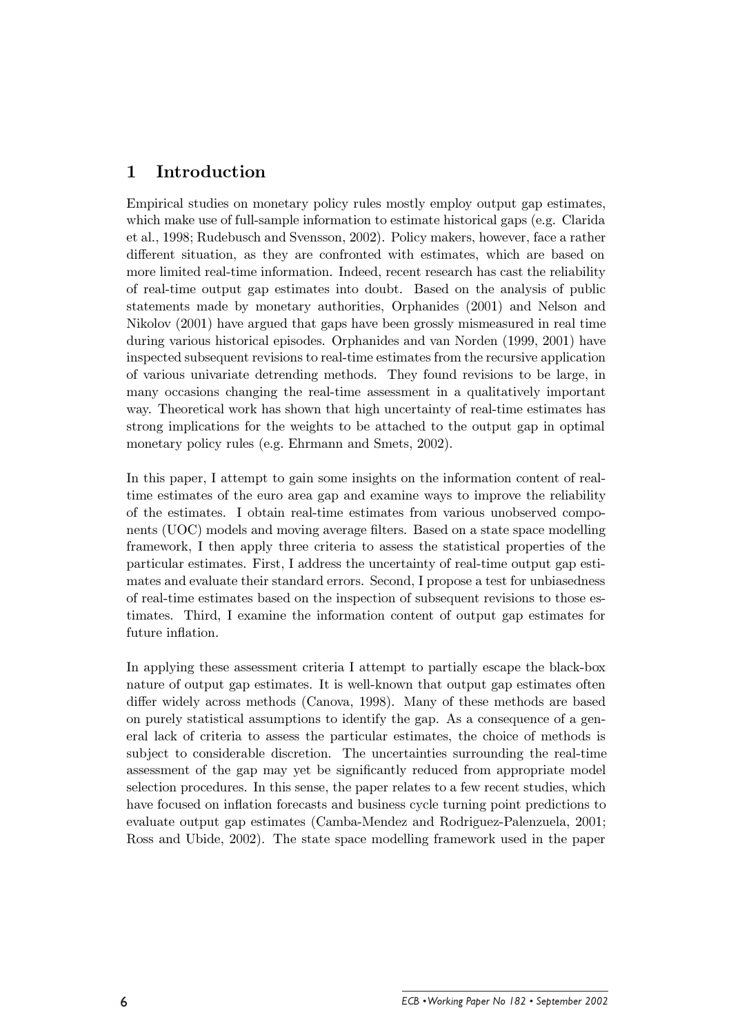#### $\mathbf{1}$ Introduction

Empirical studies on monetary policy rules mostly employ output gap estimates, which make use of full-sample information to estimate historical gaps (e.g. Clarida et al., 1998; Rudebusch and Svensson, 2002). Policy makers, however, face a rather different situation, as they are confronted with estimates, which are based on more limited real-time information. Indeed, recent research has cast the reliability of real-time output gap estimates into doubt. Based on the analysis of public statements made by monetary authorities, Orphanides (2001) and Nelson and Nikolov (2001) have argued that gaps have been grossly mismeasured in real time during various historical episodes. Orphanides and van Norden (1999, 2001) have inspected subsequent revisions to real-time estimates from the recursive application of various univariate determing methods. They found revisions to be large, in many occasions changing the real-time assessment in a qualitatively important way. Theoretical work has shown that high uncertainty of real-time estimates has strong implications for the weights to be attached to the output gap in optimal monetary policy rules (e.g. Ehrmann and Smets, 2002).

In this paper, I attempt to gain some insights on the information content of realtime estimates of the euro area gap and examine ways to improve the reliability of the estimates. I obtain real-time estimates from various unobserved components (UOC) models and moving average filters. Based on a state space modelling framework, I then apply three criteria to assess the statistical properties of the particular estimates. First, I address the uncertainty of real-time output gap estimates and evaluate their standard errors. Second, I propose a test for unbiasedness of real-time estimates based on the inspection of subsequent revisions to those estimates. Third, I examine the information content of output gap estimates for future inflation.

In applying these assessment criteria I attempt to partially escape the black-box nature of output gap estimates. It is well-known that output gap estimates often differ widely across methods (Canova, 1998). Many of these methods are based on purely statistical assumptions to identify the gap. As a consequence of a general lack of criteria to assess the particular estimates, the choice of methods is subject to considerable discretion. The uncertainties surrounding the real-time assessment of the gap may yet be significantly reduced from appropriate model selection procedures. In this sense, the paper relates to a few recent studies, which have focused on inflation forecasts and business cycle turning point predictions to evaluate output gap estimates (Camba-Mendez and Rodriguez-Palenzuela, 2001; Ross and Ubide, 2002). The state space modelling framework used in the paper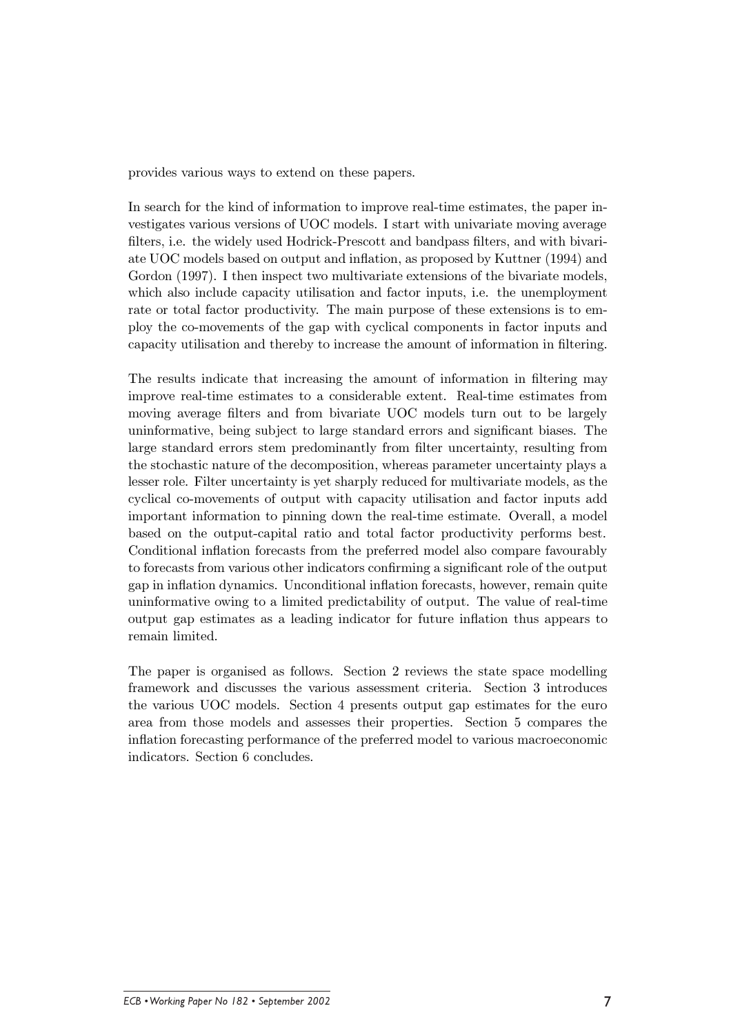provides various ways to extend on these papers.

In search for the kind of information to improve real-time estimates, the paper investigates various versions of UOC models. I start with univariate moving average filters, i.e. the widely used Hodrick-Prescott and bandpass filters, and with bivariate UOC models based on output and inflation, as proposed by Kuttner (1994) and Gordon (1997). I then inspect two multivariate extensions of the bivariate models, which also include capacity utilisation and factor inputs, i.e. the unemployment rate or total factor productivity. The main purpose of these extensions is to employ the co-movements of the gap with cyclical components in factor inputs and capacity utilisation and thereby to increase the amount of information in filtering.

The results indicate that increasing the amount of information in filtering may improve real-time estimates to a considerable extent. Real-time estimates from moving average filters and from bivariate UOC models turn out to be largely uninformative, being subject to large standard errors and significant biases. The large standard errors stem predominantly from filter uncertainty, resulting from the stochastic nature of the decomposition, whereas parameter uncertainty plays a lesser role. Filter uncertainty is yet sharply reduced for multivariate models, as the cyclical co-movements of output with capacity utilisation and factor inputs add important information to pinning down the real-time estimate. Overall, a model based on the output-capital ratio and total factor productivity performs best. Conditional inflation forecasts from the preferred model also compare favourably to forecasts from various other indicators confirming a significant role of the output gap in inflation dynamics. Unconditional inflation forecasts, however, remain quite uninformative owing to a limited predictability of output. The value of real-time output gap estimates as a leading indicator for future inflation thus appears to remain limited.

The paper is organised as follows. Section 2 reviews the state space modelling framework and discusses the various assessment criteria. Section 3 introduces the various UOC models. Section 4 presents output gap estimates for the euro area from those models and assesses their properties. Section 5 compares the inflation forecasting performance of the preferred model to various macroeconomic indicators. Section 6 concludes.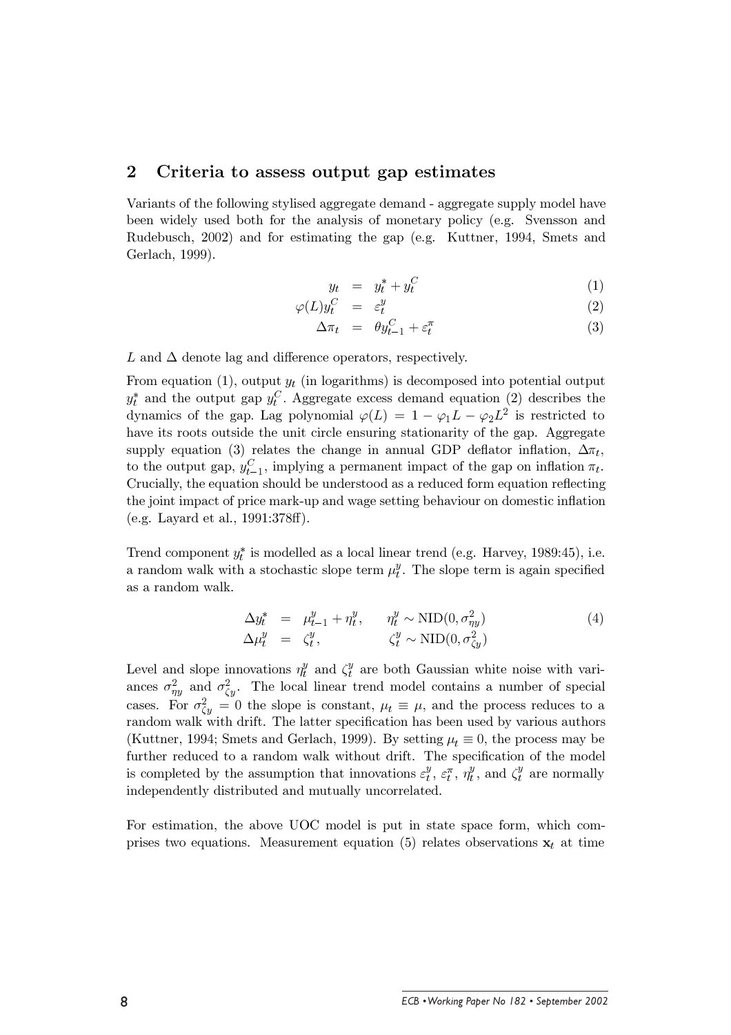#### $\boldsymbol{2}$ Criteria to assess output gap estimates

Variants of the following stylised aggregate demand - aggregate supply model have been widely used both for the analysis of monetary policy (e.g. Svensson and Rudebusch, 2002) and for estimating the gap (e.g. Kuttner, 1994, Smets and Gerlach, 1999).

$$
y_t = y_t^* + y_t^C \tag{1}
$$

$$
\varphi(L)y_t^C = \varepsilon_t^y \tag{2}
$$

$$
\Delta \pi_t = \theta y_{t-1}^C + \varepsilon_t^{\pi} \tag{3}
$$

L and  $\Delta$  denote lag and difference operators, respectively.

From equation (1), output  $y_t$  (in logarithms) is decomposed into potential output  $y_t^*$  and the output gap  $y_t^C$ . Aggregate excess demand equation (2) describes the dynamics of the gap. Lag polynomial  $\varphi(L) = 1 - \varphi_1 L - \varphi_2 L^2$  is restricted to have its roots outside the unit circle ensuring stationarity of the gap. Aggregate supply equation (3) relates the change in annual GDP deflator inflation,  $\Delta \pi_t$ , to the output gap,  $y_{t-1}^C$ , implying a permanent impact of the gap on inflation  $\pi_t$ . Crucially, the equation should be understood as a reduced form equation reflecting the joint impact of price mark-up and wage setting behaviour on domestic inflation (e.g. Layard et al., 1991:378ff).

Trend component  $y_t^*$  is modelled as a local linear trend (e.g. Harvey, 1989:45), i.e. a random walk with a stochastic slope term  $\mu_t^y$ . The slope term is again specified as a random walk.

$$
\Delta y_t^* = \mu_{t-1}^y + \eta_t^y, \qquad \eta_t^y \sim \text{NID}(0, \sigma_{\eta y}^2)
$$
  
\n
$$
\Delta \mu_t^y = \zeta_t^y, \qquad \zeta_t^y \sim \text{NID}(0, \sigma_{\zeta y}^2)
$$
\n(4)

Level and slope innovations  $\eta_t^y$  and  $\zeta_t^y$  are both Gaussian white noise with variances  $\sigma_{\eta y}^2$  and  $\sigma_{\zeta y}^2$ . The local linear trend model contains a number of special cases. For  $\sigma_{\zeta y}^2 = 0$  the slope is constant,  $\mu_t \equiv \mu$ , and the process reduces to a random walk with drift. The latter specification has been used by various authors (Kuttner, 1994; Smets and Gerlach, 1999). By setting  $\mu_t \equiv 0$ , the process may be further reduced to a random walk without drift. The specification of the model is completed by the assumption that innovations  $\varepsilon_t^y$ ,  $\varepsilon_t^{\pi}$ ,  $\eta_t^y$ , and  $\zeta_t^y$  are normally independently distributed and mutually uncorrelated.

For estimation, the above UOC model is put in state space form, which comprises two equations. Measurement equation (5) relates observations  $x_t$  at time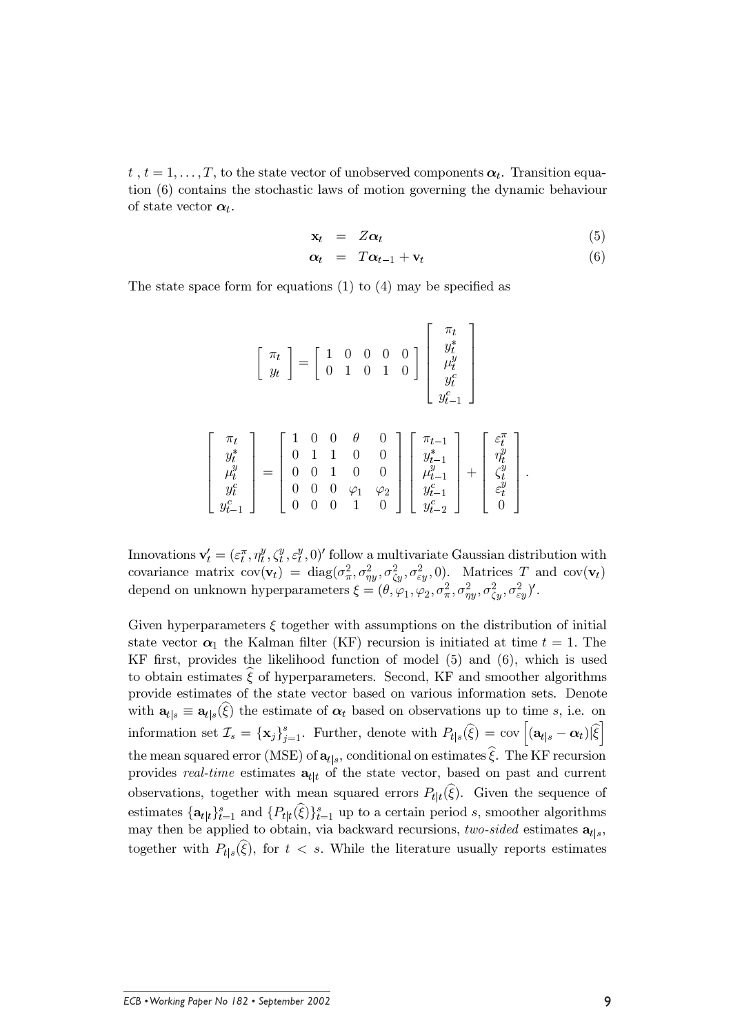$t, t = 1, \ldots, T$ , to the state vector of unobserved components  $\alpha_t$ . Transition equation (6) contains the stochastic laws of motion governing the dynamic behaviour of state vector  $\boldsymbol{\alpha}_t$ .

$$
\mathbf{x}_t = Z\boldsymbol{\alpha}_t \tag{5}
$$

$$
\alpha_t = T\alpha_{t-1} + \mathbf{v}_t \tag{6}
$$

The state space form for equations  $(1)$  to  $(4)$  may be specified as

$$
\begin{bmatrix} \pi_t \\ y_t \end{bmatrix} = \begin{bmatrix} 1 & 0 & 0 & 0 & 0 \\ 0 & 1 & 0 & 1 & 0 \end{bmatrix} \begin{bmatrix} \pi_t \\ y_t^* \\ y_t^0 \\ y_t^c \\ y_{t-1}^c \end{bmatrix}
$$

$$
\begin{bmatrix} \pi_t \\ y_t^* \\ \mu_t^y \\ \mu_t^y \\ \mu_t^c \\ y_t^c \\ \mu_{t-1}^c \end{bmatrix} = \begin{bmatrix} 1 & 0 & 0 & \theta & 0 \\ 0 & 1 & 1 & 0 & 0 \\ 0 & 0 & 1 & 0 & 0 \\ 0 & 0 & 0 & \varphi_1 & \varphi_2 \\ 0 & 0 & 0 & 1 & 0 \end{bmatrix} \begin{bmatrix} \pi_{t-1} \\ y_{t-1}^* \\ \mu_{t-1}^y \\ \mu_{t-1}^y \\ \mu_{t-1}^c \\ \mu_{t-2}^c \end{bmatrix} + \begin{bmatrix} \varepsilon_t^{\pi} \\ \eta_t^y \\ \varepsilon_t^y \\ \varepsilon_t^y \\ \varepsilon_t^y \\ 0 \end{bmatrix}
$$

Innovations  $\mathbf{v}'_t = (\varepsilon_t^{\pi}, \eta_t^y, \zeta_t^y, \varepsilon_t^y, 0)'$  follow a multivariate Gaussian distribution with covariance matrix  $cov(\mathbf{v}_t) = diag(\sigma_\pi^2, \sigma_{\eta y}^2, \sigma_{\zeta y}^2, \sigma_{\epsilon y}^2, 0)$ . Matrices T and  $cov(\mathbf{v}_t)$ depend on unknown hyperparameters  $\xi = (\theta, \varphi_1, \varphi_2, \sigma_\pi^2, \sigma_{\eta y}^2, \sigma_{\zeta y}^2, \sigma_{\zeta y}^2)'$ .

Given hyperparameters  $\xi$  together with assumptions on the distribution of initial state vector  $\alpha_1$  the Kalman filter (KF) recursion is initiated at time  $t = 1$ . The KF first, provides the likelihood function of model  $(5)$  and  $(6)$ , which is used to obtain estimates  $\hat{\xi}$  of hyperparameters. Second, KF and smoother algorithms provide estimates of the state vector based on various information sets. Denote with  $\mathbf{a}_{t|s} \equiv \mathbf{a}_{t|s}(\xi)$  the estimate of  $\alpha_t$  based on observations up to time s, i.e. on information set  $\mathcal{I}_s = {\{\mathbf{x}_j\}}_{j=1}^s$ . Further, denote with  $P_{t|s}(\widehat{\xi}) = \text{cov}\left[ (\mathbf{a}_{t|s} - \boldsymbol{\alpha}_t)|\widehat{\xi} \right]$ the mean squared error (MSE) of  $\mathbf{a}_{t|s}$ , conditional on estimates  $\hat{\xi}$ . The KF recursion provides *real-time* estimates  $a_{t|t}$  of the state vector, based on past and current observations, together with mean squared errors  $P_{t|t}(\hat{\xi})$ . Given the sequence of estimates  $\{\mathbf{a}_{t|t}\}_{t=1}^s$  and  $\{P_{t|t}(\widehat{\xi})\}_{t=1}^s$  up to a certain period s, smoother algorithms may then be applied to obtain, via backward recursions, two-sided estimates  $\mathbf{a}_{t|s}$ , together with  $P_{t|s}(\xi)$ , for  $t < s$ . While the literature usually reports estimates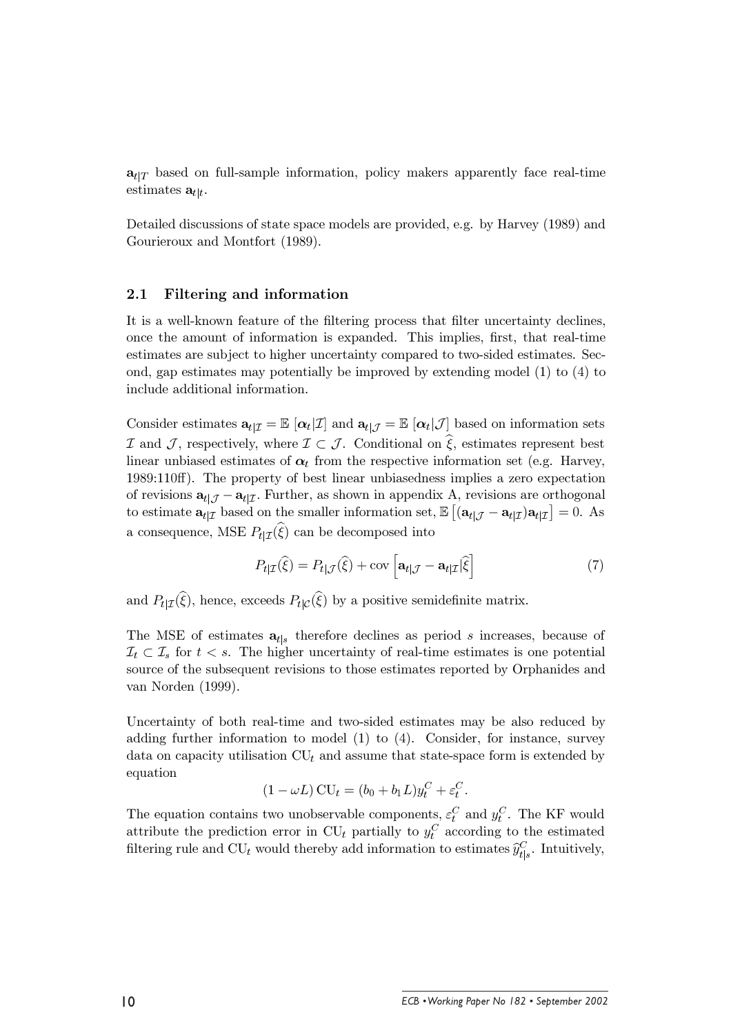$\mathbf{a}_{t|T}$  based on full-sample information, policy makers apparently face real-time estimates  $\mathbf{a}_{t|t}$ .

Detailed discussions of state space models are provided, e.g. by Harvey (1989) and Gourieroux and Montfort (1989).

#### $2.1$ Filtering and information

It is a well-known feature of the filtering process that filter uncertainty declines, once the amount of information is expanded. This implies, first, that real-time estimates are subject to higher uncertainty compared to two-sided estimates. Second, gap estimates may potentially be improved by extending model  $(1)$  to  $(4)$  to include additional information.

Consider estimates  $\mathbf{a}_{t|\mathcal{I}} = \mathbb{E} [\alpha_t | \mathcal{I}]$  and  $\mathbf{a}_{t|\mathcal{J}} = \mathbb{E} [\alpha_t | \mathcal{J}]$  based on information sets  $\mathcal I$  and  $\mathcal J$ , respectively, where  $\mathcal I \subset \mathcal J$ . Conditional on  $\hat \xi$ , estimates represent best linear unbiased estimates of  $\alpha_t$  from the respective information set (e.g. Harvey, 1989:110ff). The property of best linear unbiasedness implies a zero expectation of revisions  $\mathbf{a}_{t|\mathcal{J}} - \mathbf{a}_{t|\mathcal{I}}$ . Further, as shown in appendix A, revisions are orthogonal to estimate  $\mathbf{a}_{t|\mathcal{I}}$  based on the smaller information set,  $\mathbb{E} |(\mathbf{a}_{t|\mathcal{J}} - \mathbf{a}_{t|\mathcal{I}})\mathbf{a}_{t|\mathcal{I}}| = 0$ . As a consequence, MSE  $P_{t|T}(\hat{\xi})$  can be decomposed into

$$
P_{t|\mathcal{I}}(\widehat{\xi}) = P_{t|\mathcal{J}}(\widehat{\xi}) + \text{cov}\left[\mathbf{a}_{t|\mathcal{J}} - \mathbf{a}_{t|\mathcal{I}}|\widehat{\xi}\right]
$$
(7)

and  $P_{t|\mathcal{I}}(\hat{\xi})$ , hence, exceeds  $P_{t|\mathcal{C}}(\hat{\xi})$  by a positive semidefinite matrix.

The MSE of estimates  $a_{t|s}$  therefore declines as period s increases, because of  $\mathcal{I}_t \subset \mathcal{I}_s$  for  $t < s$ . The higher uncertainty of real-time estimates is one potential source of the subsequent revisions to those estimates reported by Orphanides and van Norden  $(1999)$ .

Uncertainty of both real-time and two-sided estimates may be also reduced by adding further information to model  $(1)$  to  $(4)$ . Consider, for instance, survey data on capacity utilisation  $CU_t$  and assume that state-space form is extended by equation

$$
(1 - \omega L) \operatorname{CU}_t = (b_0 + b_1 L) y_t^C + \varepsilon_t^C.
$$

The equation contains two unobservable components,  $\varepsilon_t^C$  and  $y_t^C$ . The KF would attribute the prediction error in  $CU_t$  partially to  $y_t^C$  according to the estimated filtering rule and  $\text{CU}_t$  would thereby add information to estimates  $\widehat{y}_{t|s}^C.$  Intuitively,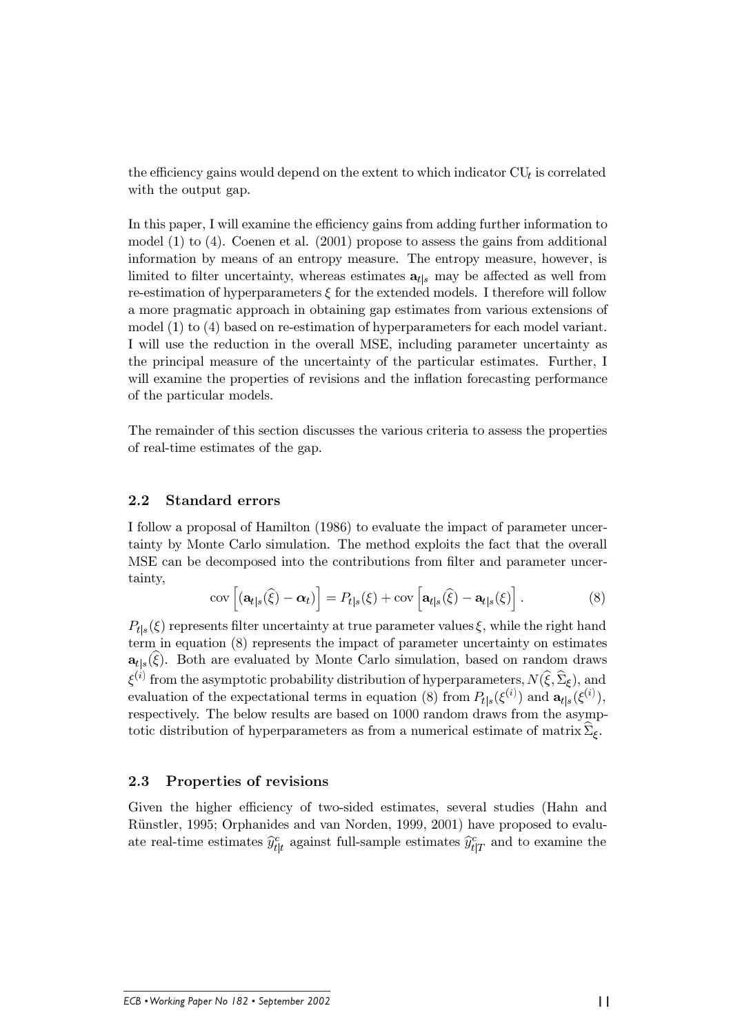the efficiency gains would depend on the extent to which indicator  $CU<sub>t</sub>$  is correlated with the output gap.

In this paper, I will examine the efficiency gains from adding further information to model  $(1)$  to  $(4)$ . Coenen et al.  $(2001)$  propose to assess the gains from additional information by means of an entropy measure. The entropy measure, however, is limited to filter uncertainty, whereas estimates  $a_{t,s}$  may be affected as well from re-estimation of hyperparameters  $\xi$  for the extended models. I therefore will follow a more pragmatic approach in obtaining gap estimates from various extensions of model  $(1)$  to  $(4)$  based on re-estimation of hyperparameters for each model variant. I will use the reduction in the overall MSE, including parameter uncertainty as the principal measure of the uncertainty of the particular estimates. Further, I will examine the properties of revisions and the inflation forecasting performance of the particular models.

The remainder of this section discusses the various criteria to assess the properties of real-time estimates of the gap.

#### $2.2$ **Standard errors**

I follow a proposal of Hamilton (1986) to evaluate the impact of parameter uncertainty by Monte Carlo simulation. The method exploits the fact that the overall MSE can be decomposed into the contributions from filter and parameter uncertainty,

$$
\text{cov}\left[\left(\mathbf{a}_{t|s}(\widehat{\xi})-\boldsymbol{\alpha}_{t}\right)\right]=P_{t|s}(\xi)+\text{cov}\left[\mathbf{a}_{t|s}(\widehat{\xi})-\mathbf{a}_{t|s}(\xi)\right].\tag{8}
$$

 $P_{\text{tls}}(\xi)$  represents filter uncertainty at true parameter values  $\xi$ , while the right hand term in equation  $(8)$  represents the impact of parameter uncertainty on estimates  $\mathbf{a}_{t|s}(\hat{\xi})$ . Both are evaluated by Monte Carlo simulation, based on random draws  $\xi^{(i)}$  from the asymptotic probability distribution of hyperparameters,  $N(\hat{\xi}, \hat{\Sigma}_{\xi})$ , and evaluation of the expectational terms in equation (8) from  $P_{t|s}(\xi^{(i)})$  and  $\mathbf{a}_{t|s}(\xi^{(i)}),$ respectively. The below results are based on 1000 random draws from the asymptotic distribution of hyperparameters as from a numerical estimate of matrix  $\Sigma_{\xi}$ .

#### Properties of revisions 2.3

Given the higher efficiency of two-sided estimates, several studies (Hahn and Rünstler, 1995; Orphanides and van Norden, 1999, 2001) have proposed to evaluate real-time estimates  $\hat{y}_{t|t}^c$  against full-sample estimates  $\hat{y}_{t|T}^c$  and to examine the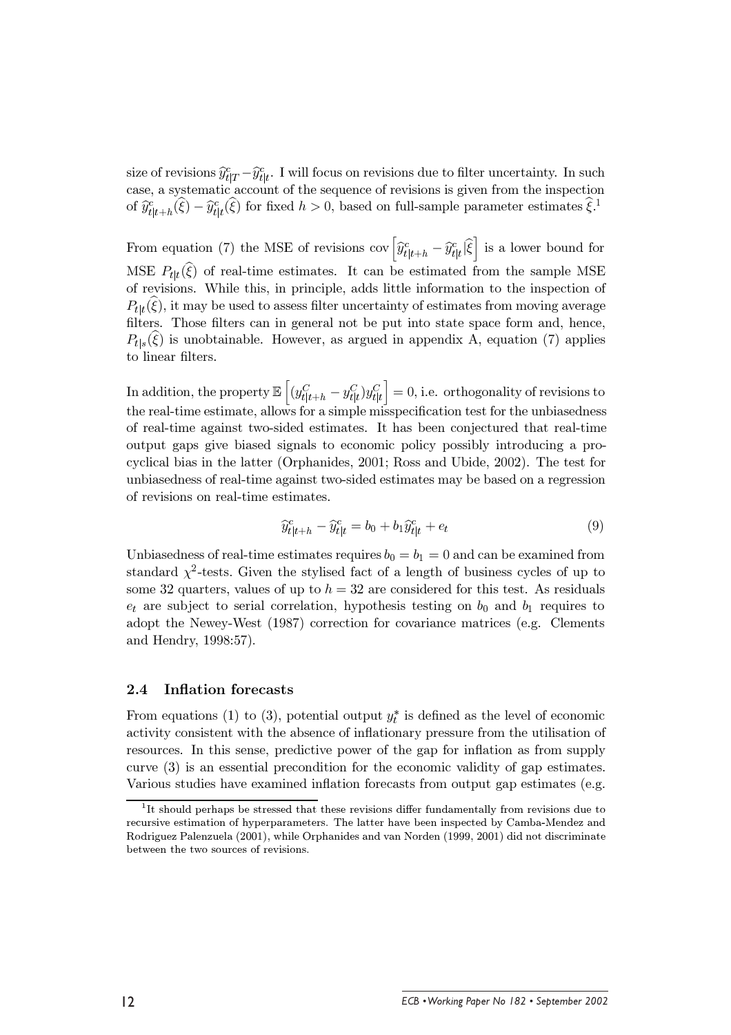size of revisions  $\hat{y}_{t|T}^c - \hat{y}_{t|t}^c$ . I will focus on revisions due to filter uncertainty. In such case, a systematic account of the sequence of revisions is given from the inspection of  $\hat{y}_{t|t+h}^c(\xi) - \hat{y}_{t|t}^c(\xi)$  for fixed  $h > 0$ , based on full-sample parameter estimates  $\xi$ .

From equation (7) the MSE of revisions cov  $\left[\hat{y}_{t|t+h}^c - \hat{y}_{t|t}^c\right]$  is a lower bound for MSE  $P_{tt}(\xi)$  of real-time estimates. It can be estimated from the sample MSE of revisions. While this, in principle, adds little information to the inspection of  $P_{t|t}(\xi)$ , it may be used to assess filter uncertainty of estimates from moving average filters. Those filters can in general not be put into state space form and, hence,  $P_{t|s}(\xi)$  is unobtainable. However, as argued in appendix A, equation (7) applies to linear filters.

In addition, the property  $\mathbb{E}\left[\left(y_{t|t+h}^C - y_{t|t}^C\right)y_{t|t}^C\right] = 0$ , i.e. orthogonality of revisions to the real-time estimate, allows for a simple misspecification test for the unbiasedness of real-time against two-sided estimates. It has been conjectured that real-time output gaps give biased signals to economic policy possibly introducing a procyclical bias in the latter (Orphanides, 2001; Ross and Ubide, 2002). The test for unbiasedness of real-time against two-sided estimates may be based on a regression of revisions on real-time estimates.

$$
\widehat{y}_{t|t+h}^c - \widehat{y}_{t|t}^c = b_0 + b_1 \widehat{y}_{t|t}^c + e_t \tag{9}
$$

Unbiasedness of real-time estimates requires  $b_0 = b_1 = 0$  and can be examined from standard  $\chi^2$ -tests. Given the stylised fact of a length of business cycles of up to some 32 quarters, values of up to  $h = 32$  are considered for this test. As residuals  $e_t$  are subject to serial correlation, hypothesis testing on  $b_0$  and  $b_1$  requires to adopt the Newey-West (1987) correction for covariance matrices (e.g. Clements and Hendry, 1998:57).

#### **Inflation forecasts**  $2.4\,$

From equations (1) to (3), potential output  $y_t^*$  is defined as the level of economic activity consistent with the absence of inflationary pressure from the utilisation of resources. In this sense, predictive power of the gap for inflation as from supply curve  $(3)$  is an essential precondition for the economic validity of gap estimates. Various studies have examined inflation forecasts from output gap estimates (e.g.

 ${}^{1}$ It should perhaps be stressed that these revisions differ fundamentally from revisions due to recursive estimation of hyperparameters. The latter have been inspected by Camba-Mendez and Rodriguez Palenzuela (2001), while Orphanides and van Norden (1999, 2001) did not discriminate between the two sources of revisions.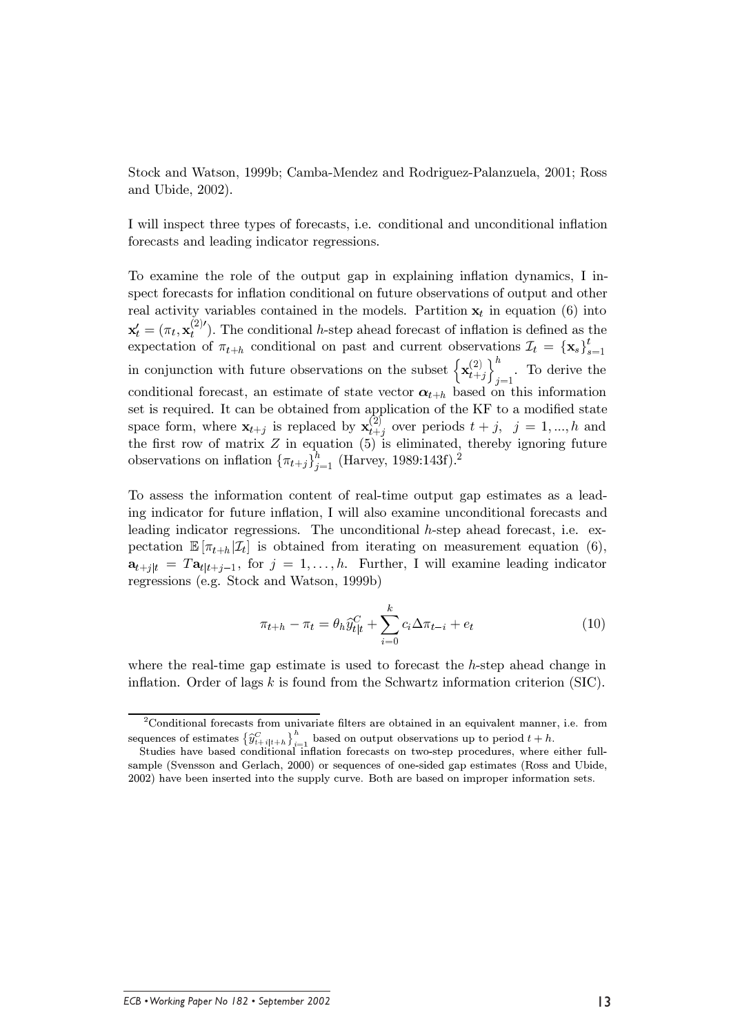Stock and Watson, 1999b; Camba-Mendez and Rodriguez-Palanzuela, 2001; Ross and Ubide, 2002).

I will inspect three types of forecasts, i.e. conditional and unconditional inflation forecasts and leading indicator regressions.

To examine the role of the output gap in explaining inflation dynamics, I inspect forecasts for inflation conditional on future observations of output and other real activity variables contained in the models. Partition  $x_t$  in equation (6) into  $\mathbf{x}'_t = (\pi_t, \mathbf{x}^{(2)}_t)$ . The conditional h-step ahead forecast of inflation is defined as the expectation of  $\pi_{t+h}$  conditional on past and current observations  $\mathcal{I}_t = {\mathbf{x}_s}_{s=1}^t$ in conjunction with future observations on the subset  $\left\{ \mathbf{x}_{t+j}^{(2)} \right\}_{j=1}^{h}$ . To derive the conditional forecast, an estimate of state vector  $\alpha_{t+h}$  based on this information set is required. It can be obtained from application of the KF to a modified state space form, where  $\mathbf{x}_{t+j}$  is replaced by  $\mathbf{x}_{t+j}^{(2)}$  over periods  $t+j$ ,  $j=1,...,h$  and the first row of matrix  $Z$  in equation  $(5)$  is eliminated, thereby ignoring future observations on inflation  $\{\pi_{t+j}\}_{j=1}^{\hat{h}}$  (Harvey, 1989:143f).<sup>2</sup>

To assess the information content of real-time output gap estimates as a leading indicator for future inflation, I will also examine unconditional forecasts and leading indicator regressions. The unconditional h-step ahead forecast, i.e. expectation  $\mathbb{E}[\pi_{t+h}|\mathcal{I}_t]$  is obtained from iterating on measurement equation (6),  $\mathbf{a}_{t+j|t} = T\mathbf{a}_{t|t+j-1}$ , for  $j = 1, \ldots, h$ . Further, I will examine leading indicator regressions (e.g. Stock and Watson, 1999b)

$$
\pi_{t+h} - \pi_t = \theta_h \widehat{y}_{t|t}^C + \sum_{i=0}^k c_i \Delta \pi_{t-i} + e_t \tag{10}
$$

where the real-time gap estimate is used to forecast the  $h$ -step ahead change in inflation. Order of lags  $k$  is found from the Schwartz information criterion (SIC).

 ${}^{2}$ Conditional forecasts from univariate filters are obtained in an equivalent manner, i.e. from sequences of estimates  $\left\{\widehat{y}_{t+i|t+h}^C\right\}_{i=1}^h$  based on output observations up to period  $t+h$ .<br>Studies have based conditional inflation forecasts on two-step procedures, where either full-

sample (Svensson and Gerlach, 2000) or sequences of one-sided gap estimates (Ross and Ubide, 2002) have been inserted into the supply curve. Both are based on improper information sets.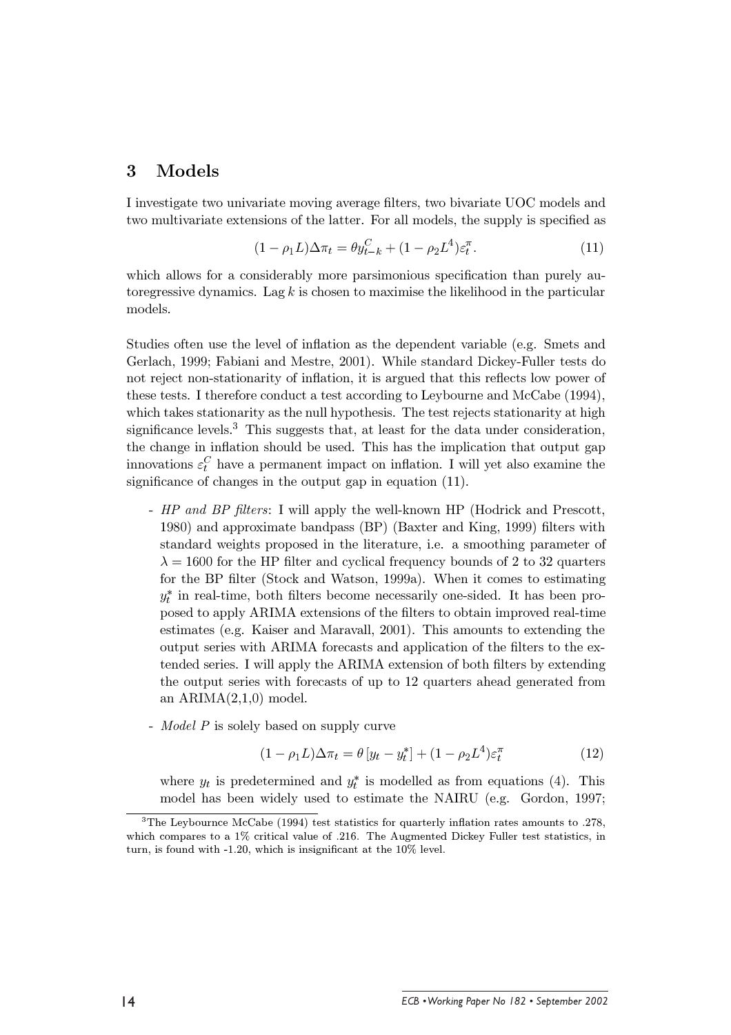#### 3 Models

I investigate two univariate moving average filters, two bivariate UOC models and two multivariate extensions of the latter. For all models, the supply is specified as

$$
(1 - \rho_1 L)\Delta \pi_t = \theta y_{t-k}^C + (1 - \rho_2 L^4) \varepsilon_t^{\pi}.
$$
\n(11)

which allows for a considerably more parsimonious specification than purely autoregressive dynamics. Lag  $k$  is chosen to maximise the likelihood in the particular models.

Studies often use the level of inflation as the dependent variable (e.g. Smets and Gerlach, 1999; Fabiani and Mestre, 2001). While standard Dickey-Fuller tests do not reject non-stationarity of inflation, it is argued that this reflects low power of these tests. I therefore conduct a test according to Leybourne and McCabe (1994), which takes stationarity as the null hypothesis. The test rejects stationarity at high significance levels.<sup>3</sup> This suggests that, at least for the data under consideration, the change in inflation should be used. This has the implication that output gap innovations  $\varepsilon_t^C$  have a permanent impact on inflation. I will yet also examine the significance of changes in the output gap in equation  $(11)$ .

- HP and BP filters: I will apply the well-known HP (Hodrick and Prescott. 1980) and approximate bandpass (BP) (Baxter and King, 1999) filters with standard weights proposed in the literature, i.e. a smoothing parameter of  $\lambda = 1600$  for the HP filter and cyclical frequency bounds of 2 to 32 quarters for the BP filter (Stock and Watson, 1999a). When it comes to estimating  $y_t^*$  in real-time, both filters become necessarily one-sided. It has been proposed to apply ARIMA extensions of the filters to obtain improved real-time estimates (e.g. Kaiser and Maravall, 2001). This amounts to extending the output series with ARIMA forecasts and application of the filters to the extended series. I will apply the ARIMA extension of both filters by extending the output series with forecasts of up to 12 quarters ahead generated from an  $ARIMA(2,1,0)$  model.
- *Model P* is solely based on supply curve

$$
(1 - \rho_1 L)\Delta \pi_t = \theta \left[ y_t - y_t^* \right] + (1 - \rho_2 L^4) \varepsilon_t^{\pi} \tag{12}
$$

where  $y_t$  is predetermined and  $y_t^*$  is modelled as from equations (4). This model has been widely used to estimate the NAIRU (e.g. Gordon, 1997;

 $3$ The Leybournce McCabe (1994) test statistics for quarterly inflation rates amounts to .278, which compares to a 1% critical value of .216. The Augmented Dickey Fuller test statistics, in turn, is found with  $-1.20$ , which is insignificant at the  $10\%$  level.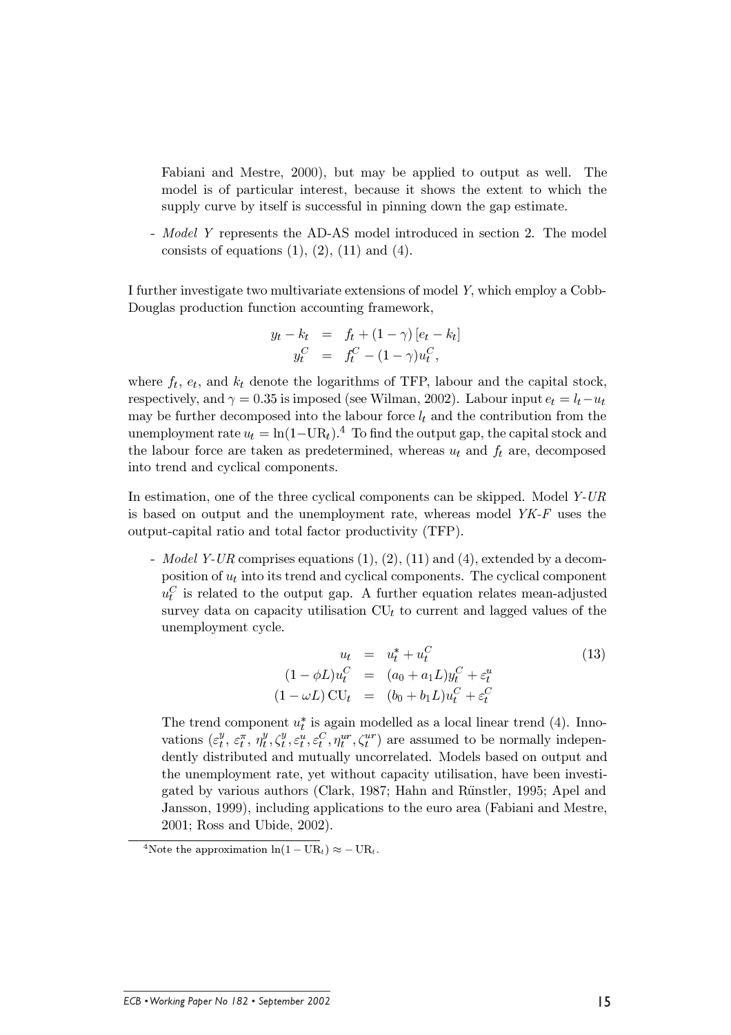Fabiani and Mestre, 2000), but may be applied to output as well. The model is of particular interest, because it shows the extent to which the supply curve by itself is successful in pinning down the gap estimate.

- Model Y represents the AD-AS model introduced in section 2. The model consists of equations  $(1)$ ,  $(2)$ ,  $(11)$  and  $(4)$ .

I further investigate two multivariate extensions of model Y, which employ a Cobb-Douglas production function accounting framework,

$$
y_t - k_t = f_t + (1 - \gamma) [e_t - k_t] y_t^C = f_t^C - (1 - \gamma) u_t^C,
$$

where  $f_t$ ,  $e_t$ , and  $k_t$  denote the logarithms of TFP, labour and the capital stock, respectively, and  $\gamma = 0.35$  is imposed (see Wilman, 2002). Labour input  $e_t = l_t - u_t$ may be further decomposed into the labour force  $l_t$  and the contribution from the unemployment rate  $u_t = \ln(1-\text{UR}_t)^{4}$  To find the output gap, the capital stock and the labour force are taken as predetermined, whereas  $u_t$  and  $f_t$  are, decomposed into trend and cyclical components.

In estimation, one of the three cyclical components can be skipped. Model Y-UR is based on output and the unemployment rate, whereas model  $YK-F$  uses the output-capital ratio and total factor productivity (TFP).

- *Model Y-UR* comprises equations  $(1), (2), (11)$  and  $(4),$  extended by a decomposition of  $u_t$  into its trend and cyclical components. The cyclical component  $u_t^C$  is related to the output gap. A further equation relates mean-adjusted survey data on capacity utilisation  $CU_t$  to current and lagged values of the unemployment cycle.

$$
u_t = u_t^* + u_t^C
$$
  
\n
$$
(1 - \phi L)u_t^C = (a_0 + a_1 L)y_t^C + \varepsilon_t^u
$$
  
\n
$$
(1 - \omega L)\text{CU}_t = (b_0 + b_1 L)u_t^C + \varepsilon_t^C
$$
\n(13)

The trend component  $u_t^*$  is again modelled as a local linear trend (4). Innovations  $(\varepsilon_t^y, \varepsilon_t^{\pi}, \eta_t^y, \zeta_t^y, \varepsilon_t^u, \varepsilon_t^c, \eta_t^{ur}, \zeta_t^{ur})$  are assumed to be normally independently distributed and mutually uncorrelated. Models based on output and the unemployment rate, yet without capacity utilisation, have been investigated by various authors (Clark, 1987; Hahn and Rünstler, 1995; Apel and Jansson, 1999), including applications to the euro area (Fabiani and Mestre, 2001; Ross and Ubide, 2002).

 $\overline{ }$ 

<sup>&</sup>lt;sup>4</sup>Note the approximation  $ln(1 - UR_t) \approx -UR_t$ .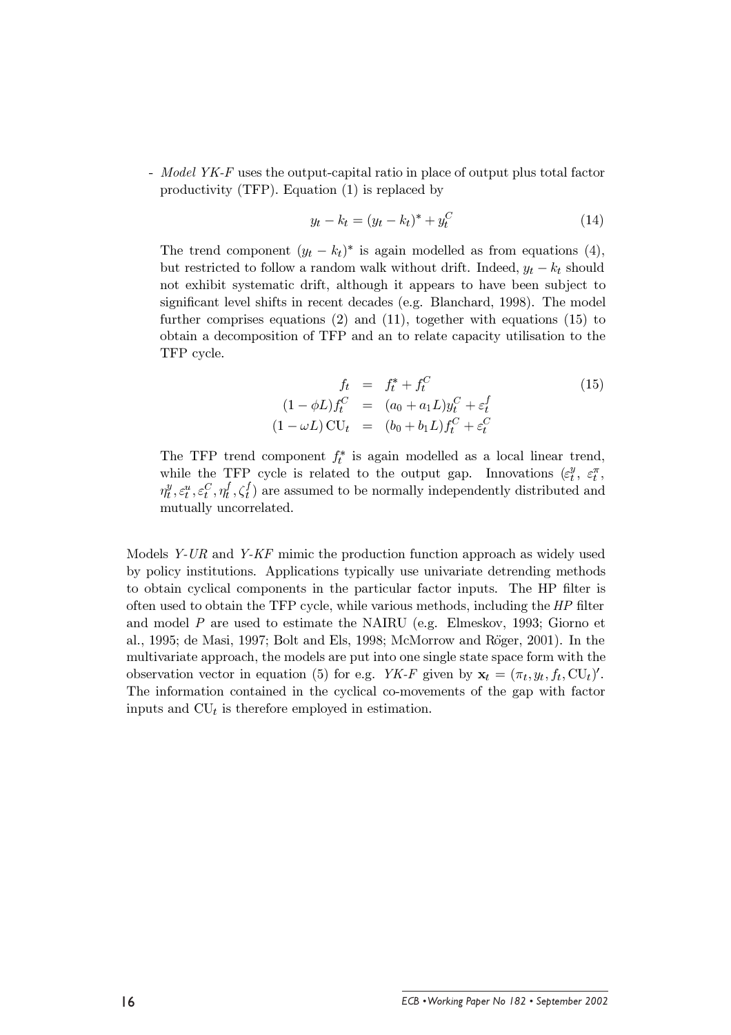- Model YK-F uses the output-capital ratio in place of output plus total factor productivity (TFP). Equation  $(1)$  is replaced by

$$
y_t - k_t = (y_t - k_t)^* + y_t^C
$$
 (14)

The trend component  $(y_t - k_t)^*$  is again modelled as from equations (4), but restricted to follow a random walk without drift. Indeed,  $y_t - k_t$  should not exhibit systematic drift, although it appears to have been subject to significant level shifts in recent decades (e.g. Blanchard, 1998). The model further comprises equations  $(2)$  and  $(11)$ , together with equations  $(15)$  to obtain a decomposition of TFP and an to relate capacity utilisation to the TFP cycle.

$$
f_t = f_t^* + f_t^C
$$
  
\n
$$
(1 - \phi L)f_t^C = (a_0 + a_1 L)y_t^C + \varepsilon_t^f
$$
  
\n
$$
(1 - \omega L)\mathbf{CU}_t = (b_0 + b_1 L)f_t^C + \varepsilon_t^C
$$
\n(15)

The TFP trend component  $f_t^*$  is again modelled as a local linear trend, while the TFP cycle is related to the output gap. Innovations  $(\varepsilon_t^y, \varepsilon_t^{\pi})$  $\eta_t^y, \varepsilon_t^u, \varepsilon_t^C, \eta_t^f, \zeta_t^f$  are assumed to be normally independently distributed and mutually uncorrelated.

Models  $Y$ -UR and  $Y$ -KF mimic the production function approach as widely used by policy institutions. Applications typically use univariate detrending methods to obtain cyclical components in the particular factor inputs. The HP filter is often used to obtain the TFP cycle, while various methods, including the HP filter and model  $P$  are used to estimate the NAIRU (e.g. Elmeskov, 1993; Giorno et al., 1995; de Masi, 1997; Bolt and Els, 1998; McMorrow and Röger, 2001). In the multivariate approach, the models are put into one single state space form with the observation vector in equation (5) for e.g. YK-F given by  $\mathbf{x}_t = (\pi_t, y_t, f_t, CU_t)'$ . The information contained in the cyclical co-movements of the gap with factor inputs and  $CU_t$  is therefore employed in estimation.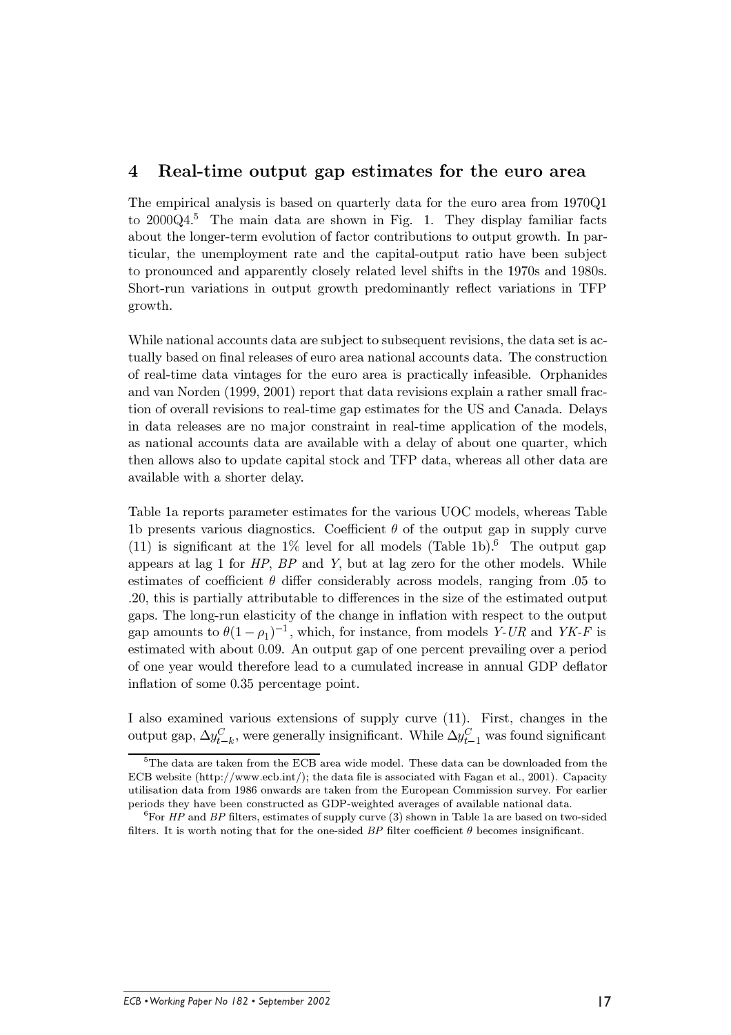#### $\overline{\mathbf{4}}$ Real-time output gap estimates for the euro area

The empirical analysis is based on quarterly data for the euro area from 1970Q1 to  $2000Q4$ <sup>5</sup>. The main data are shown in Fig. 1. They display familiar facts about the longer-term evolution of factor contributions to output growth. In particular, the unemployment rate and the capital-output ratio have been subject to pronounced and apparently closely related level shifts in the 1970s and 1980s. Short-run variations in output growth predominantly reflect variations in TFP growth.

While national accounts data are subject to subsequent revisions, the data set is actually based on final releases of euro area national accounts data. The construction of real-time data vintages for the euro area is practically infeasible. Orphanides and van Norden (1999, 2001) report that data revisions explain a rather small fraction of overall revisions to real-time gap estimates for the US and Canada. Delays in data releases are no major constraint in real-time application of the models. as national accounts data are available with a delay of about one quarter, which then allows also to update capital stock and TFP data, whereas all other data are available with a shorter delay.

Table 1a reports parameter estimates for the various UOC models, whereas Table 1b presents various diagnostics. Coefficient  $\theta$  of the output gap in supply curve (11) is significant at the 1% level for all models (Table 1b).<sup>6</sup> The output gap appears at lag 1 for  $HP$ ,  $BP$  and Y, but at lag zero for the other models. While estimates of coefficient  $\theta$  differ considerably across models, ranging from 0.05 to .20, this is partially attributable to differences in the size of the estimated output gaps. The long-run elasticity of the change in inflation with respect to the output gap amounts to  $\theta(1-\rho_1)^{-1}$ , which, for instance, from models Y-UR and YK-F is estimated with about 0.09. An output gap of one percent prevailing over a period of one year would therefore lead to a cumulated increase in annual GDP deflator inflation of some 0.35 percentage point.

I also examined various extensions of supply curve (11). First, changes in the output gap,  $\Delta y_{t-k}^C$ , were generally insignificant. While  $\Delta y_{t-1}^C$  was found significant

 $5$ The data are taken from the ECB area wide model. These data can be downloaded from the ECB website  $\frac{h(t)}{h(t)}$  www.ecb.int/: the data file is associated with Fagan et al., 2001). Capacity utilisation data from 1986 onwards are taken from the European Commission survey. For earlier periods they have been constructed as GDP-weighted averages of available national data.

<sup>&</sup>lt;sup>6</sup>For *HP* and *BP* filters, estimates of supply curve (3) shown in Table 1a are based on two-sided filters. It is worth noting that for the one-sided BP filter coefficient  $\theta$  becomes insignificant.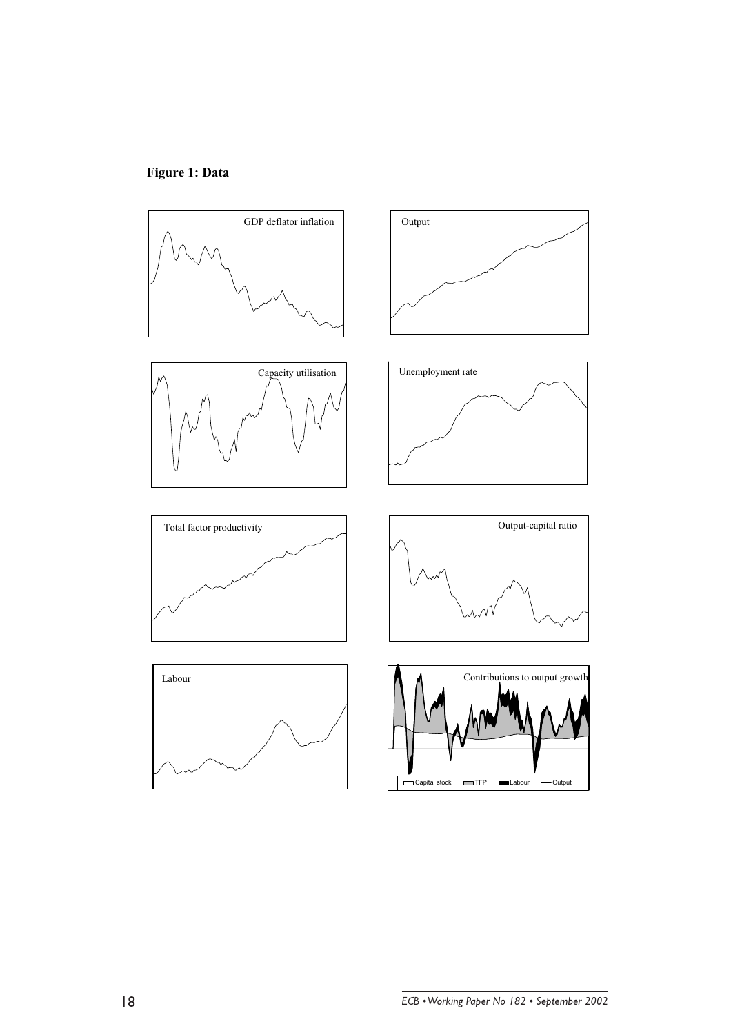

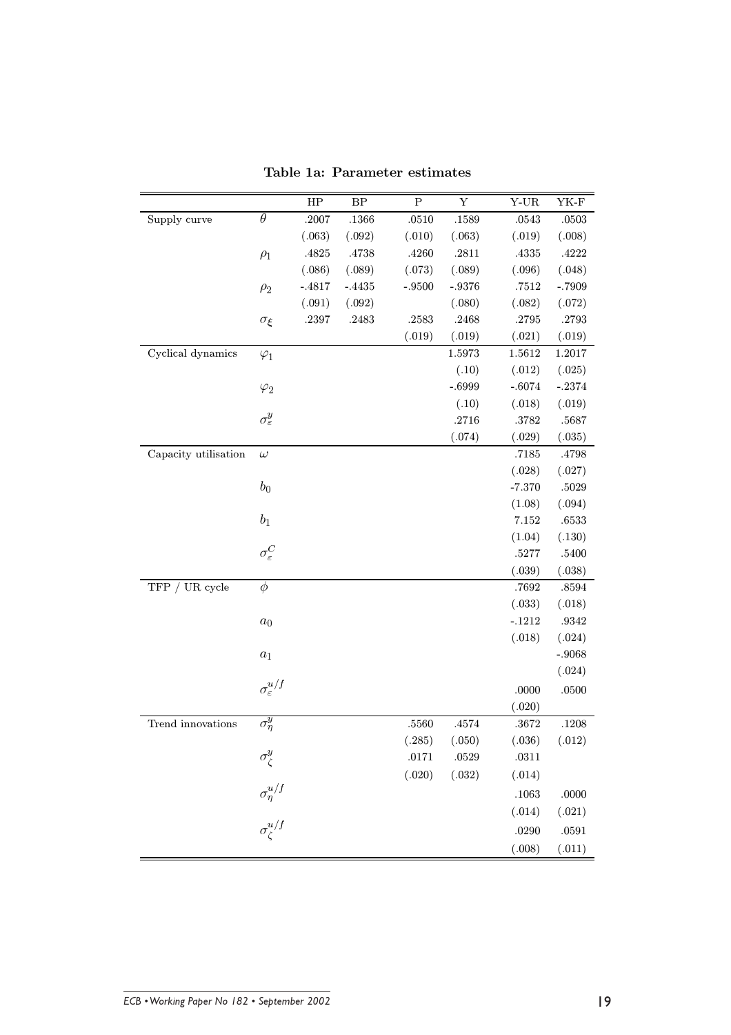|                      |                            | HP       | $\rm BP$  | ${\bf P}$ | Y          | $Y$ -UR   | YK-F     |
|----------------------|----------------------------|----------|-----------|-----------|------------|-----------|----------|
| Supply curve         | $\theta$                   | $.2007$  | .1366     | .0510     | .1589      | $.0543\,$ | .0503    |
|                      |                            | (.063)   | (.092)    | (.010)    | (.063)     | (.019)    | (.008)   |
|                      | $\rho_1$                   | .4825    | $.4738\,$ | .4260     | $.2811\,$  | .4335     | .4222    |
|                      |                            | (.086)   | (.089)    | (.073)    | (.089)     | (.096)    | (.048)   |
|                      | $\rho_2$                   | $-.4817$ | $-.4435$  | $-.9500$  | $-.9376$   | $.7512\,$ | $-.7909$ |
|                      |                            | (.091)   | (.092)    |           | (.080)     | (.082)    | (.072)   |
|                      | $\sigma_{\xi}$             | .2397    | .2483     | .2583     | .2468      | $.2795\,$ | .2793    |
|                      |                            |          |           | (.019)    | (.019)     | (.021)    | (.019)   |
| Cyclical dynamics    | $\varphi_1$                |          |           |           | $1.5973\,$ | 1.5612    | 1.2017   |
|                      |                            |          |           |           | (.10)      | (.012)    | (.025)   |
|                      | $\varphi_2$                |          |           |           | $-.6999$   | $-.6074$  | $-.2374$ |
|                      |                            |          |           |           | (.10)      | (.018)    | (.019)   |
|                      | $\sigma_{\varepsilon}^{y}$ |          |           |           | $.2716\,$  | $.3782\,$ | .5687    |
|                      |                            |          |           |           | (.074)     | (.029)    | (.035)   |
| Capacity utilisation | $\omega$                   |          |           |           |            | .7185     | .4798    |
|                      |                            |          |           |           |            | (.028)    | (.027)   |
|                      | $b_0$                      |          |           |           |            | $-7.370$  | .5029    |
|                      |                            |          |           |           |            | (1.08)    | (.094)   |
|                      | $b_1$                      |          |           |           |            | $7.152\,$ | .6533    |
|                      |                            |          |           |           |            | (1.04)    | (.130)   |
|                      | $\sigma_{\varepsilon}^C$   |          |           |           |            | .5277     | .5400    |
|                      |                            |          |           |           |            | (.039)    | (.038)   |
| TFP / UR cycle       | $\phi$                     |          |           |           |            | .7692     | .8594    |
|                      |                            |          |           |           |            | (.033)    | (.018)   |
|                      | $a_0$                      |          |           |           |            | $-.1212$  | .9342    |
|                      |                            |          |           |           |            | (.018)    | (.024)   |
|                      | $a_1$                      |          |           |           |            |           | $-.9068$ |
|                      |                            |          |           |           |            |           | (.024)   |
|                      | $\sigma_\varepsilon^{u/f}$ |          |           |           |            | .0000     | .0500    |
|                      |                            |          |           |           |            | (.020)    |          |
| Trend innovations    | $\sigma_{\eta}^{y}$        |          |           | .5560     | $.4574\,$  | .3672     | .1208    |
|                      |                            |          |           | (.285)    | (.050)     | (.036)    | (.012)   |
|                      | $\sigma_{\zeta}^{y}$       |          |           | $.0171\,$ | .0529      | .0311     |          |
|                      |                            |          |           | (.020)    | (.032)     | (.014)    |          |
|                      | $\sigma_{\eta}^{u/f}$      |          |           |           |            | .1063     | .0000    |
|                      |                            |          |           |           |            | (.014)    | (.021)   |
|                      | $\sigma_\zeta^{u/f}$       |          |           |           |            | .0290     | .0591    |
|                      |                            |          |           |           |            | (.008)    | (.011)   |
|                      |                            |          |           |           |            |           |          |

Table 1a: Parameter estimates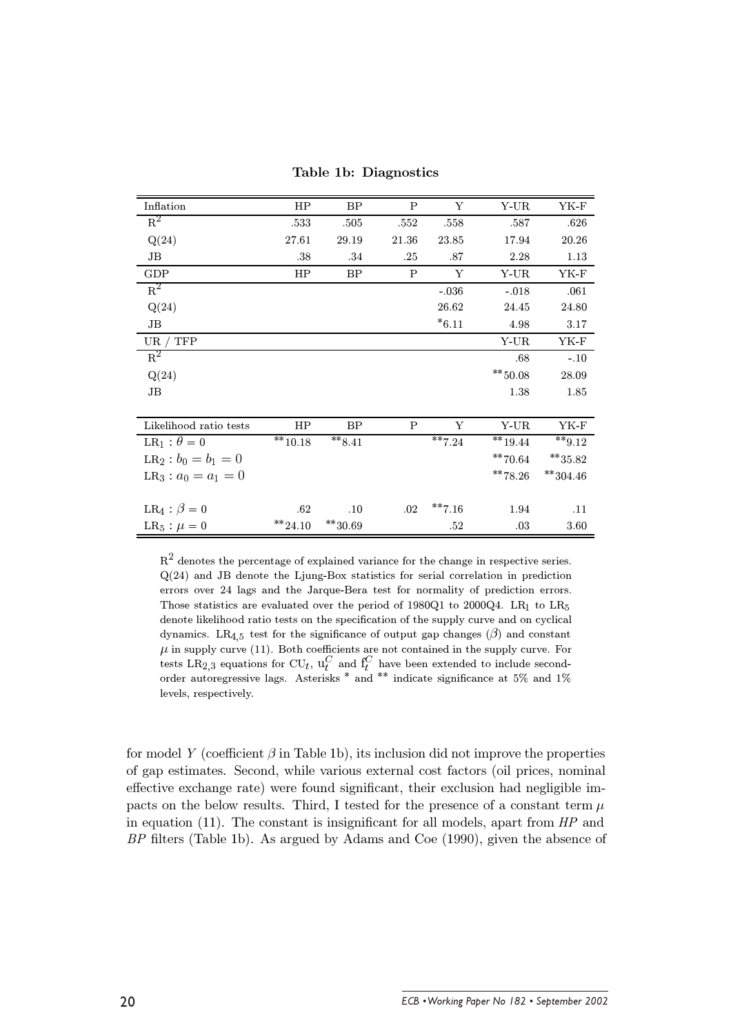Table 1b: Diagnostics

| Inflation                      | HP                 | BP                 | $\mathbf P$  | Υ         | Y-UR        | YK-F                |
|--------------------------------|--------------------|--------------------|--------------|-----------|-------------|---------------------|
| $R^2$                          | .533               | .505               | .552         | .558      | .587        | .626                |
| Q(24)                          | 27.61              | 29.19              | 21.36        | 23.85     | 17.94       | 20.26               |
| JB                             | .38                | .34                | .25          | .87       | 2.28        | 1.13                |
| GDP                            | HP                 | BP                 | $\mathsf{P}$ | Υ         | Y-UR        | YK-F                |
| $R^2$                          |                    |                    |              | $-.036$   | $-.018$     | .061                |
| Q(24)                          |                    |                    |              | 26.62     | 24.45       | 24.80               |
| JB                             |                    |                    |              | $*6.11$   | 4.98        | 3.17                |
| UR / TFP                       |                    |                    |              |           | Y-UR        | $YK-F$              |
| $R^2$                          |                    |                    |              |           | .68         | $-.10$              |
| Q(24)                          |                    |                    |              |           | $*** 50.08$ | 28.09               |
| $\rm{JB}$                      |                    |                    |              |           | 1.38        | 1.85                |
|                                |                    |                    |              |           |             |                     |
| Likelihood ratio tests         | HP                 | BP                 | P            | Y         | Y-UR        | YK-F                |
| LR <sub>1</sub> : $\theta = 0$ | $^{\ast\ast}10.18$ | $**8.41$           |              | $***7.24$ | $**19.44$   | $*** 9.12$          |
| $LR_2 : b_0 = b_1 = 0$         |                    |                    |              |           | $**70.64$   | $^{\ast\ast}35.82$  |
| $LR_3: a_0 = a_1 = 0$          |                    |                    |              |           | $**78.26$   | $^{\ast\ast}304.46$ |
|                                |                    |                    |              |           |             |                     |
| $LR_4$ : $\beta = 0$           | .62                | .10                | .02          | $***7.16$ | 1.94        | .11                 |
| $LR_5: \mu = 0$                | $^{\ast\ast}24.10$ | $^{\ast\ast}30.69$ |              | .52       | .03         | 3.60                |

 $\mathbf{R}^2$  denotes the percentage of explained variance for the change in respective series.  $Q(24)$  and JB denote the Ljung-Box statistics for serial correlation in prediction errors over 24 lags and the Jarque-Bera test for normality of prediction errors. Those statistics are evaluated over the period of 1980Q1 to 2000Q4. LR<sub>1</sub> to LR<sub>5</sub> denote likelihood ratio tests on the specification of the supply curve and on cyclical dynamics. LR<sub>4.5</sub> test for the significance of output gap changes ( $\beta$ ) and constant  $\mu$  in supply curve (11). Both coefficients are not contained in the supply curve. For tests LR<sub>2,3</sub> equations for CU<sub>t</sub>,  $u_t^C$  and  $f_t^C$  have been extended to include second-<br>order autoregressive lags. Asterisks \* and levels, respectively.

for model Y (coefficient  $\beta$  in Table 1b), its inclusion did not improve the properties of gap estimates. Second, while various external cost factors (oil prices, nominal effective exchange rate) were found significant, their exclusion had negligible impacts on the below results. Third, I tested for the presence of a constant term  $\mu$ in equation  $(11)$ . The constant is insignificant for all models, apart from  $HP$  and BP filters (Table 1b). As argued by Adams and Coe (1990), given the absence of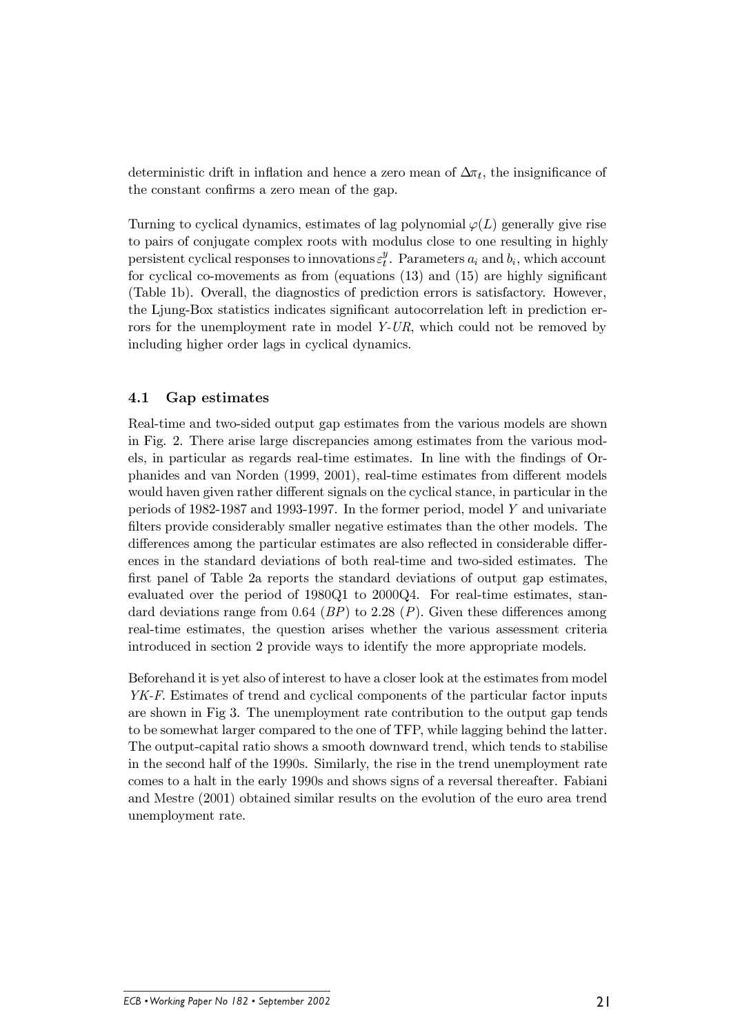deterministic drift in inflation and hence a zero mean of  $\Delta \pi_t$ , the insignificance of the constant confirms a zero mean of the gap.

Turning to cyclical dynamics, estimates of lag polynomial  $\varphi(L)$  generally give rise to pairs of conjugate complex roots with modulus close to one resulting in highly persistent cyclical responses to innovations  $\varepsilon_i^y$ . Parameters  $a_i$  and  $b_i$ , which account for cyclical co-movements as from (equations  $(13)$  and  $(15)$ ) are highly significant (Table 1b). Overall, the diagnostics of prediction errors is satisfactory. However, the Ljung-Box statistics indicates significant autocorrelation left in prediction errors for the unemployment rate in model  $Y-UR$ , which could not be removed by including higher order lags in cyclical dynamics.

#### $4.1$ Gap estimates

Real-time and two-sided output gap estimates from the various models are shown in Fig. 2. There arise large discrepancies among estimates from the various models, in particular as regards real-time estimates. In line with the findings of Orphanides and van Norden (1999, 2001), real-time estimates from different models would haven given rather different signals on the cyclical stance, in particular in the periods of 1982-1987 and 1993-1997. In the former period, model  $Y$  and univariate filters provide considerably smaller negative estimates than the other models. The differences among the particular estimates are also reflected in considerable differences in the standard deviations of both real-time and two-sided estimates. The first panel of Table 2a reports the standard deviations of output gap estimates. evaluated over the period of  $1980Q1$  to  $2000Q4$ . For real-time estimates, standard deviations range from 0.64 (BP) to 2.28 (P). Given these differences among real-time estimates, the question arises whether the various assessment criteria introduced in section 2 provide ways to identify the more appropriate models.

Beforehand it is yet also of interest to have a closer look at the estimates from model YK-F. Estimates of trend and cyclical components of the particular factor inputs are shown in Fig 3. The unemployment rate contribution to the output gap tends to be somewhat larger compared to the one of TFP, while lagging behind the latter. The output-capital ratio shows a smooth downward trend, which tends to stabilise in the second half of the 1990s. Similarly, the rise in the trend unemployment rate comes to a halt in the early 1990s and shows signs of a reversal thereafter. Fabiani and Mestre (2001) obtained similar results on the evolution of the euro area trend unemployment rate.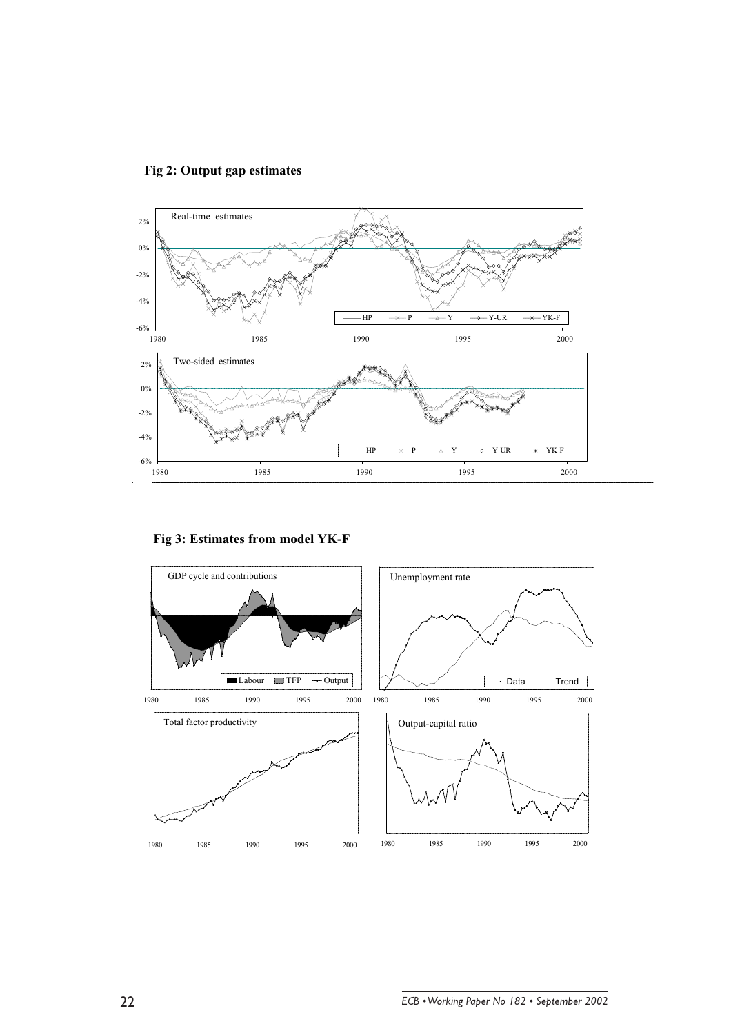

 **Fig 2: Output gap estimates**

**Fig 3: Estimates from model YK-F**

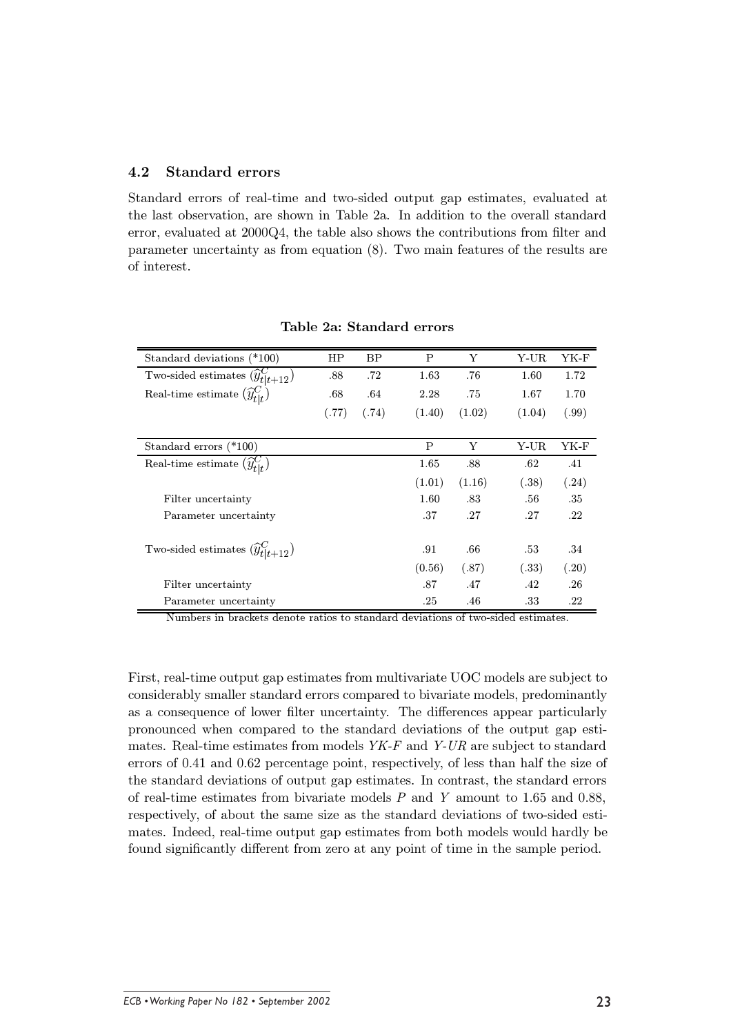#### $4.2$ **Standard errors**

Standard errors of real-time and two-sided output gap estimates, evaluated at the last observation, are shown in Table 2a. In addition to the overall standard error, evaluated at 2000Q4, the table also shows the contributions from filter and parameter uncertainty as from equation  $(8)$ . Two main features of the results are of interest.

| Standard deviations (*100)                     | HP    | BP    | P      | Y      | Y-UR   | YK-F  |
|------------------------------------------------|-------|-------|--------|--------|--------|-------|
| Two-sided estimates $(\widehat y^C_{t t+12})$  | .88   | .72   | 1.63   | .76    | 1.60   | 1.72  |
| Real-time estimate $(\widehat{y}_{tl}^{C})$    | .68   | .64   | 2.28   | .75    | 1.67   | 1.70  |
|                                                | (.77) | (.74) | (1.40) | (1.02) | (1.04) | (.99) |
|                                                |       |       |        |        |        |       |
| Standard errors (*100)                         |       |       | P      | Y      | Y-UR   | YK-F  |
| Real-time estimate $(\widehat{y}_{t}^C)_t$     |       |       | 1.65   | .88    | .62    | .41   |
|                                                |       |       | (1.01) | (1.16) | (.38)  | (.24) |
| Filter uncertainty                             |       |       | 1.60   | .83    | .56    | .35   |
| Parameter uncertainty                          |       |       | .37    | .27    | .27    | .22   |
| Two-sided estimates $(\widehat{y}_{t t+12}^C)$ |       |       | .91    | .66    | .53    | .34   |
|                                                |       |       | (0.56) | (.87)  | (.33)  | (.20) |
| Filter uncertainty                             |       |       | .87    | .47    | .42    | .26   |
| Parameter uncertainty                          |       |       | .25    | .46    | .33    | .22   |

### Table 2a: Standard errors

Numbers in brackets denote ratios to standard deviations of two-sided estimates.

First, real-time output gap estimates from multivariate UOC models are subject to considerably smaller standard errors compared to bivariate models, predominantly as a consequence of lower filter uncertainty. The differences appear particularly pronounced when compared to the standard deviations of the output gap estimates. Real-time estimates from models  $YK-F$  and  $Y-UR$  are subject to standard errors of 0.41 and 0.62 percentage point, respectively, of less than half the size of the standard deviations of output gap estimates. In contrast, the standard errors of real-time estimates from bivariate models  $P$  and  $Y$  amount to 1.65 and 0.88, respectively, of about the same size as the standard deviations of two-sided estimates. Indeed, real-time output gap estimates from both models would hardly be found significantly different from zero at any point of time in the sample period.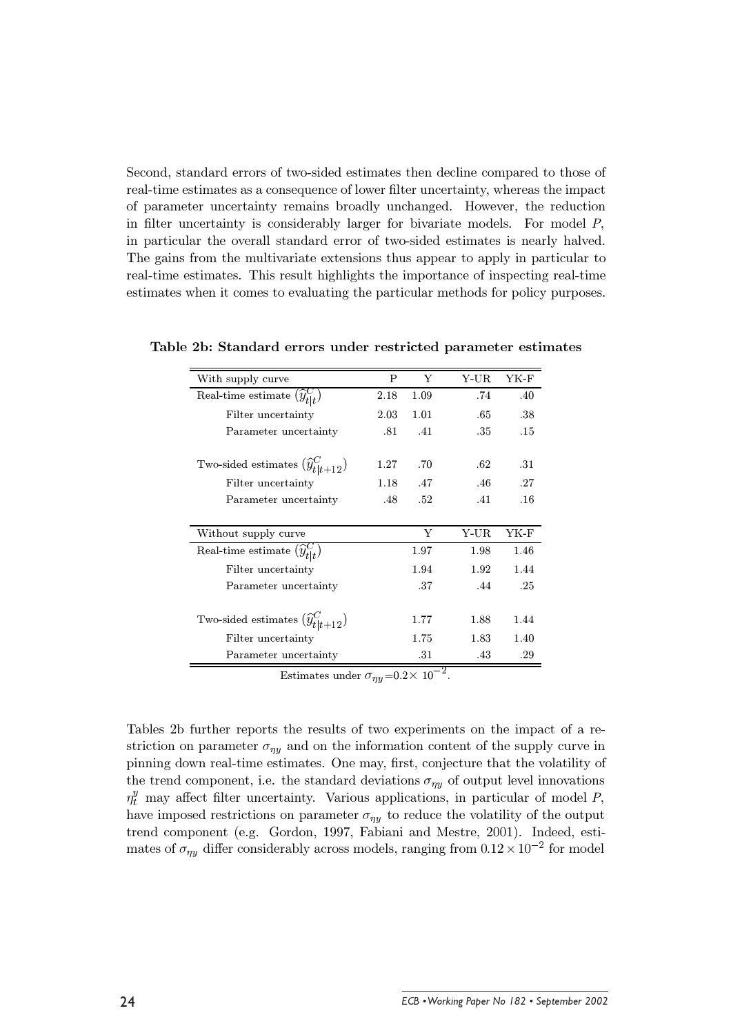Second, standard errors of two-sided estimates then decline compared to those of real-time estimates as a consequence of lower filter uncertainty, whereas the impact of parameter uncertainty remains broadly unchanged. However, the reduction in filter uncertainty is considerably larger for bivariate models. For model  $P$ , in particular the overall standard error of two-sided estimates is nearly halved. The gains from the multivariate extensions thus appear to apply in particular to real-time estimates. This result highlights the importance of inspecting real-time estimates when it comes to evaluating the particular methods for policy purposes.

| With supply curve                              | P    | Y    | Y-UR | YK-F |
|------------------------------------------------|------|------|------|------|
| Real-time estimate $(\widehat{y}_{t t}^C)$     | 2.18 | 1.09 | .74  | .40  |
| Filter uncertainty                             | 2.03 | 1.01 | .65  | .38  |
| Parameter uncertainty                          | .81  | .41  | .35  | .15  |
|                                                |      |      |      |      |
| Two-sided estimates $(\widehat{y}_{t t+12}^C)$ | 1.27 | .70  | .62  | .31  |
| Filter uncertainty                             | 1.18 | .47  | .46  | .27  |
| Parameter uncertainty                          | .48  | .52  | .41  | .16  |
|                                                |      |      |      |      |
| Without supply curve                           |      | Y    | Y-UR | YK-F |
| Real-time estimate $(\widehat{y}_{t}^{C})$     |      | 1.97 | 1.98 | 1.46 |
| Filter uncertainty                             |      | 1.94 | 1.92 | 1.44 |
| Parameter uncertainty                          |      | .37  | .44  | .25  |
|                                                |      |      |      |      |
| Two-sided estimates $(\widehat{y}_{t t+12}^C)$ |      | 1.77 | 1.88 | 1.44 |
| Filter uncertainty                             |      | 1.75 | 1.83 | 1.40 |
| Parameter uncertainty                          |      | .31  | .43  | .29  |

Table 2b: Standard errors under restricted parameter estimates

Estimates under  $\sigma_{\eta y} = 0.2 \times 10^{-2}$ .

Tables 2b further reports the results of two experiments on the impact of a restriction on parameter  $\sigma_{n\ell}$  and on the information content of the supply curve in pinning down real-time estimates. One may, first, conjecture that the volatility of the trend component, i.e. the standard deviations  $\sigma_{\eta y}$  of output level innovations  $\eta_t^y$  may affect filter uncertainty. Various applications, in particular of model P, have imposed restrictions on parameter  $\sigma_{\eta\eta}$  to reduce the volatility of the output trend component (e.g. Gordon, 1997, Fabiani and Mestre, 2001). Indeed, estimates of  $\sigma_{\eta y}$  differ considerably across models, ranging from  $0.12 \times 10^{-2}$  for model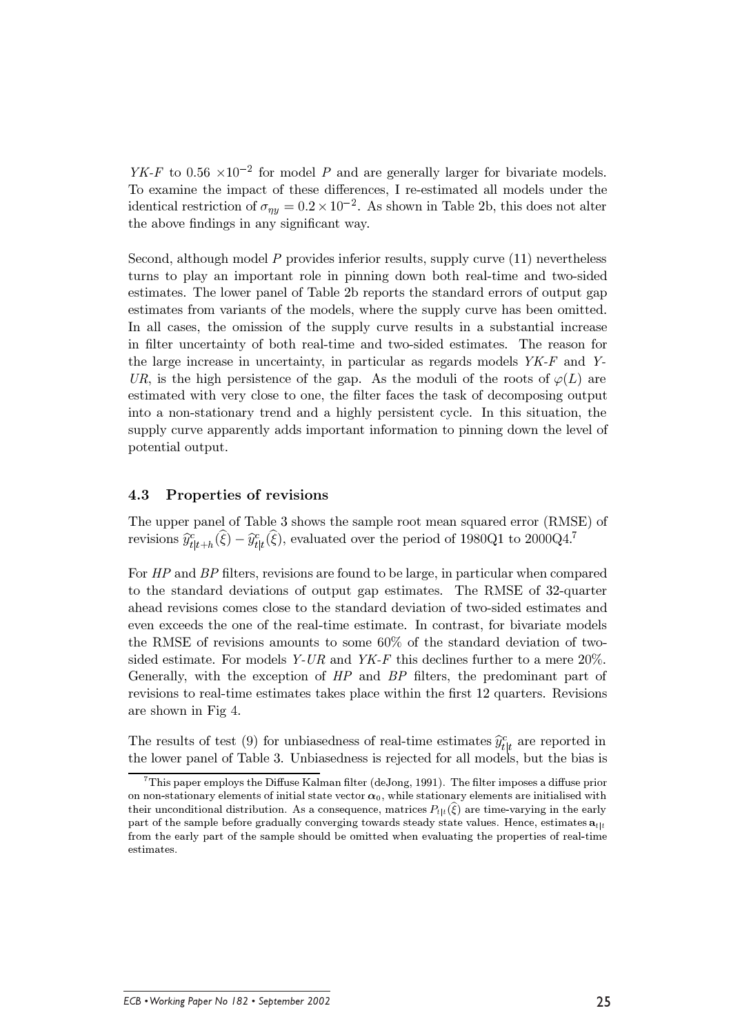$YK-F$  to 0.56  $\times 10^{-2}$  for model P and are generally larger for bivariate models. To examine the impact of these differences, I re-estimated all models under the identical restriction of  $\sigma_{\eta y} = 0.2 \times 10^{-2}$ . As shown in Table 2b, this does not alter the above findings in any significant way.

Second, although model P provides inferior results, supply curve (11) nevertheless turns to play an important role in pinning down both real-time and two-sided estimates. The lower panel of Table 2b reports the standard errors of output gap estimates from variants of the models, where the supply curve has been omitted. In all cases, the omission of the supply curve results in a substantial increase in filter uncertainty of both real-time and two-sided estimates. The reason for the large increase in uncertainty, in particular as regards models YK-F and Y-UR, is the high persistence of the gap. As the moduli of the roots of  $\varphi(L)$  are estimated with very close to one, the filter faces the task of decomposing output into a non-stationary trend and a highly persistent cycle. In this situation, the supply curve apparently adds important information to pinning down the level of potential output.

#### 4.3 Properties of revisions

The upper panel of Table 3 shows the sample root mean squared error (RMSE) of revisions  $\hat{y}_{t|t+h}^c(\xi) - \hat{y}_{t|t}^c(\xi)$ , evaluated over the period of 1980Q1 to 2000Q4.<sup>7</sup>

For HP and BP filters, revisions are found to be large, in particular when compared to the standard deviations of output gap estimates. The RMSE of 32-quarter ahead revisions comes close to the standard deviation of two-sided estimates and even exceeds the one of the real-time estimate. In contrast, for bivariate models the RMSE of revisions amounts to some  $60\%$  of the standard deviation of twosided estimate. For models  $Y-UR$  and  $YK-F$  this declines further to a mere 20%. Generally, with the exception of HP and BP filters, the predominant part of revisions to real-time estimates takes place within the first 12 quarters. Revisions are shown in Fig 4.

The results of test (9) for unbiasedness of real-time estimates  $\hat{y}_{t|t}^c$  are reported in the lower panel of Table 3. Unbiasedness is rejected for all models, but the bias is

 $7$ This paper employs the Diffuse Kalman filter (deJong, 1991). The filter imposes a diffuse prior on non-stationary elements of initial state vector  $\alpha_0$ , while stationary elements are initialised with their unconditional distribution. As a consequence, matrices  $P_{t|t}(\xi)$  are time-varying in the early part of the sample before gradually converging towards steady state values. Hence, estimates  $a_{t|t}$ from the early part of the sample should be omitted when evaluating the properties of real-time estimates.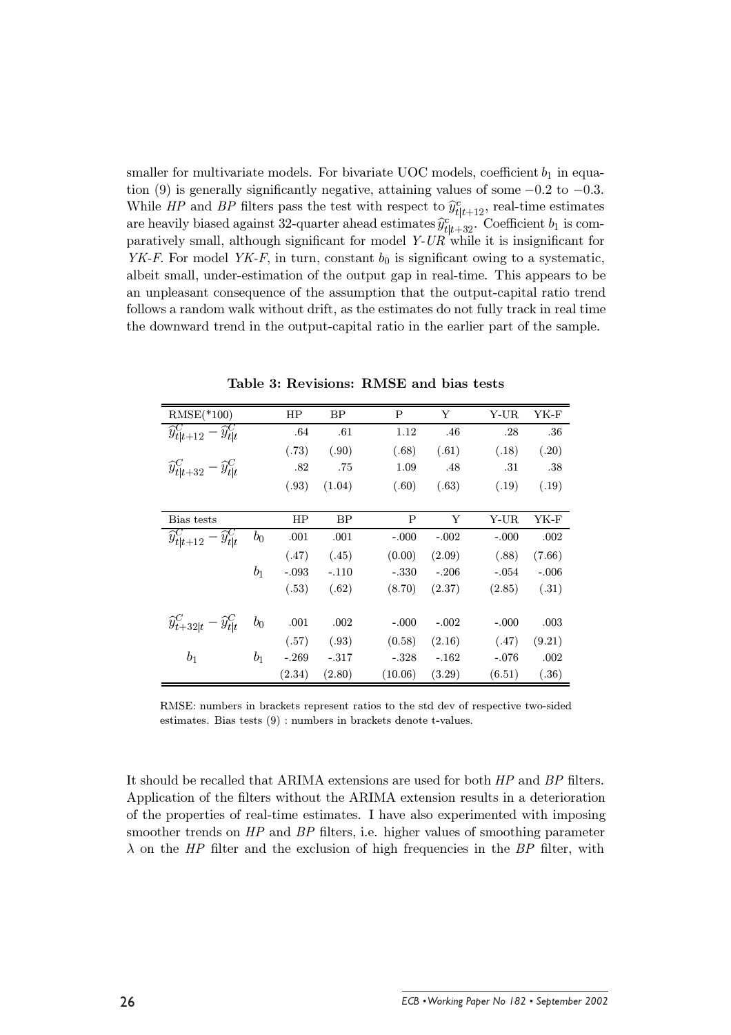smaller for multivariate models. For bivariate UOC models, coefficient  $b_1$  in equation (9) is generally significantly negative, attaining values of some  $-0.2$  to  $-0.3$ . While HP and BP filters pass the test with respect to  $\hat{y}_{t|t+12}^c$ , real-time estimates are heavily biased against 32-quarter ahead estimates  $\hat{y}_{t|t+32}^c$ . Coefficient  $b_1$  is comparatively small, although significant for model  $Y-UR$  while it is insignificant for YK-F. For model YK-F, in turn, constant  $b_0$  is significant owing to a systematic, albeit small, under-estimation of the output gap in real-time. This appears to be an unpleasant consequence of the assumption that the output-capital ratio trend follows a random walk without drift, as the estimates do not fully track in real time the downward trend in the output-capital ratio in the earlier part of the sample.

| $RMSE(*100)$                                   |                | HP      | <b>BP</b> | P       | Υ       | Y-UR    | YK-F    |
|------------------------------------------------|----------------|---------|-----------|---------|---------|---------|---------|
| $\widehat{y}_{t t+12}^C - \widehat{y}_{t t}^C$ |                | .64     | .61       | 1.12    | .46     | .28     | .36     |
|                                                |                | (.73)   | (.90)     | (.68)   | (.61)   | (.18)   | (.20)   |
| $\widehat{y}_{t t+32}^C - \widehat{y}_{t t}^C$ |                | .82     | .75       | 1.09    | .48     | .31     | .38     |
|                                                |                | (.93)   | (1.04)    | (.60)   | (.63)   | (.19)   | (.19)   |
|                                                |                |         |           |         |         |         |         |
| Bias tests                                     |                | HP      | <b>BP</b> | P       | Υ       | Y-UR    | YK-F    |
| $\widehat{y}_{t t+12}^C - \widehat{y}_{t t}^C$ | $b_0$          | .001    | .001      | $-.000$ | $-.002$ | $-.000$ | .002    |
|                                                |                | (.47)   | (.45)     | (0.00)  | (2.09)  | (.88)   | (7.66)  |
|                                                | b <sub>1</sub> | $-.093$ | $-.110$   | $-.330$ | $-.206$ | $-.054$ | $-.006$ |
|                                                |                | (.53)   | (.62)     | (8.70)  | (2.37)  | (2.85)  | (.31)   |
|                                                |                |         |           |         |         |         |         |
| $\widehat{y}_{t+32 t}^C - \widehat{y}_{t t}^C$ | $b_0$          | .001    | .002      | $-.000$ | $-.002$ | $-.000$ | .003    |
|                                                |                | (.57)   | (.93)     | (0.58)  | (2.16)  | (.47)   | (9.21)  |
| b <sub>1</sub>                                 | $b_1$          | $-.269$ | $-.317$   | $-.328$ | $-.162$ | $-.076$ | .002    |
|                                                |                | (2.34)  | (2.80)    | (10.06) | (3.29)  | (6.51)  | (.36)   |

Table 3: Revisions: RMSE and bias tests

RMSE: numbers in brackets represent ratios to the std dev of respective two-sided estimates. Bias tests (9) : numbers in brackets denote t-values.

It should be recalled that ARIMA extensions are used for both HP and BP filters. Application of the filters without the ARIMA extension results in a deterioration of the properties of real-time estimates. I have also experimented with imposing smoother trends on  $HP$  and  $BP$  filters, i.e. higher values of smoothing parameter  $\lambda$  on the HP filter and the exclusion of high frequencies in the BP filter, with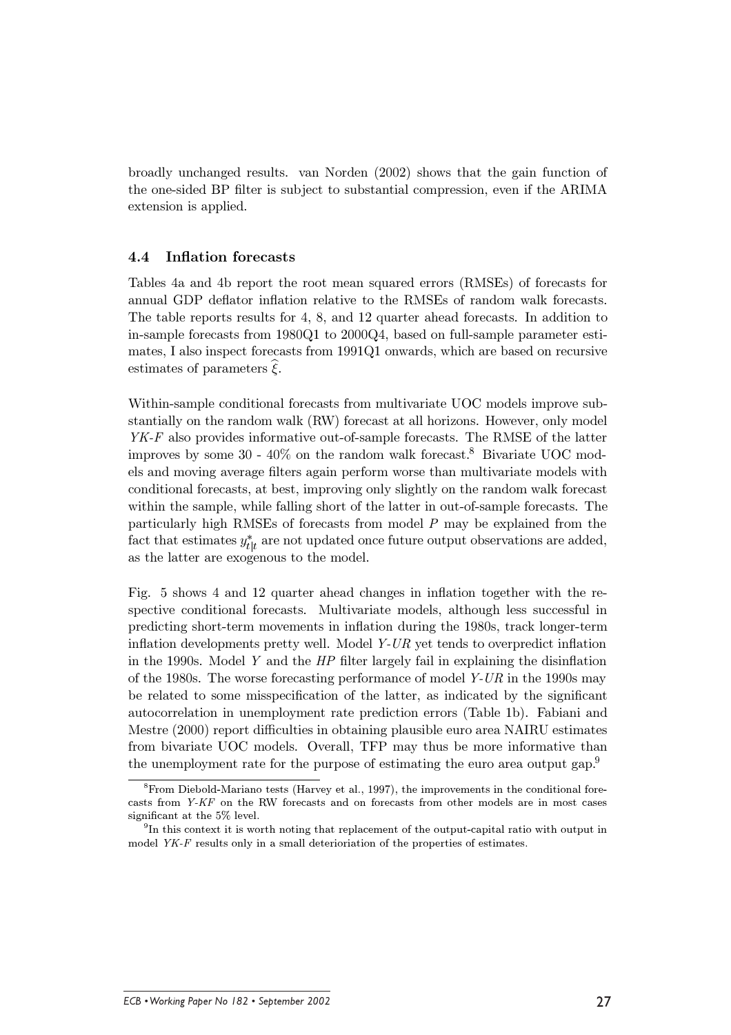broadly unchanged results. van Norden (2002) shows that the gain function of the one-sided BP filter is subject to substantial compression, even if the ARIMA extension is applied.

#### 4.4 **Inflation forecasts**

Tables 4a and 4b report the root mean squared errors (RMSEs) of forecasts for annual GDP deflator inflation relative to the RMSEs of random walk forecasts. The table reports results for 4, 8, and 12 quarter ahead forecasts. In addition to in-sample forecasts from 1980Q1 to 2000Q4, based on full-sample parameter estimates, I also inspect forecasts from 1991Q1 onwards, which are based on recursive estimates of parameters  $\xi$ .

Within-sample conditional forecasts from multivariate UOC models improve substantially on the random walk (RW) forecast at all horizons. However, only model  $YK-F$  also provides informative out-of-sample forecasts. The RMSE of the latter improves by some  $30 - 40\%$  on the random walk forecast.<sup>8</sup> Bivariate UOC models and moving average filters again perform worse than multivariate models with conditional forecasts, at best, improving only slightly on the random walk forecast within the sample, while falling short of the latter in out-of-sample forecasts. The particularly high RMSEs of forecasts from model  $P$  may be explained from the fact that estimates  $y_{t|t}^*$  are not updated once future output observations are added, as the latter are exogenous to the model.

Fig. 5 shows 4 and 12 quarter ahead changes in inflation together with the respective conditional forecasts. Multivariate models, although less successful in predicting short-term movements in inflation during the 1980s, track longer-term inflation developments pretty well. Model  $Y-UR$  yet tends to overpredict inflation in the 1990s. Model Y and the  $HP$  filter largely fail in explaining the disinflation of the 1980s. The worse forecasting performance of model  $Y-UR$  in the 1990s may be related to some misspecification of the latter, as indicated by the significant autocorrelation in unemployment rate prediction errors (Table 1b). Fabiani and Mestre (2000) report difficulties in obtaining plausible euro area NAIRU estimates from bivariate UOC models. Overall, TFP may thus be more informative than the unemployment rate for the purpose of estimating the euro area output gap.

 ${}^8$ From Diebold-Mariano tests (Harvey et al., 1997), the improvements in the conditional forecasts from Y-KF on the RW forecasts and on forecasts from other models are in most cases significant at the 5% level.

<sup>&</sup>lt;sup>9</sup>In this context it is worth noting that replacement of the output-capital ratio with output in model  $YK$ - $F$  results only in a small deterioriation of the properties of estimates.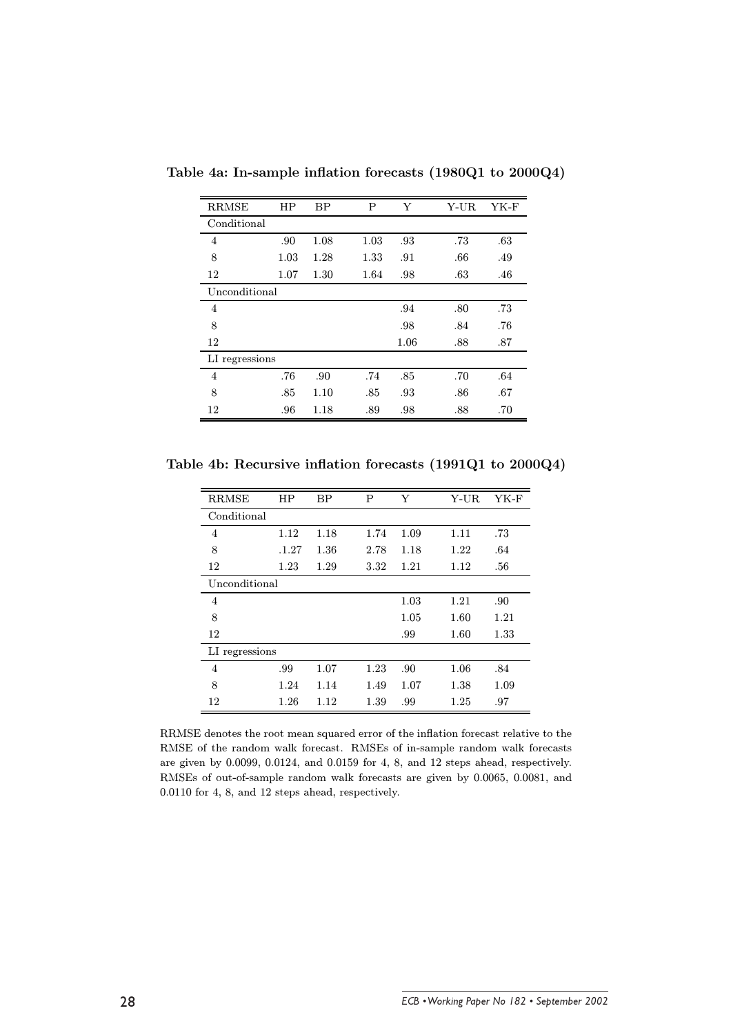| <b>RRMSE</b>   | HP   | <b>BP</b> | P    | Y    | Y-UR | YK-F |
|----------------|------|-----------|------|------|------|------|
| Conditional    |      |           |      |      |      |      |
| 4              | .90  | 1.08      | 1.03 | .93  | .73  | .63  |
| 8              | 1.03 | 1.28      | 1.33 | .91  | .66  | .49  |
| 12             | 1.07 | 1.30      | 1.64 | .98  | .63  | .46  |
| Unconditional  |      |           |      |      |      |      |
| 4              |      |           |      | .94  | .80  | .73  |
| 8              |      |           |      | .98  | .84  | .76  |
| 12             |      |           |      | 1.06 | .88  | .87  |
| LI regressions |      |           |      |      |      |      |
| 4              | .76  | .90       | .74  | .85  | .70  | .64  |
| 8              | .85  | 1.10      | .85  | .93  | .86  | .67  |
| 12             | .96  | 1.18      | .89  | .98  | .88  | .70  |

Table 4a: In-sample inflation forecasts (1980Q1 to 2000Q4)

Table 4b: Recursive inflation forecasts (1991Q1 to 2000Q4)

| <b>RRMSE</b>   | HP    | BP   | P    | Y    | Y-UR | YK-F |
|----------------|-------|------|------|------|------|------|
| Conditional    |       |      |      |      |      |      |
| 4              | 1.12  | 1.18 | 1.74 | 1.09 | 1.11 | .73  |
| 8              | .1.27 | 1.36 | 2.78 | 1.18 | 1.22 | .64  |
| 12             | 1.23  | 1.29 | 3.32 | 1.21 | 1.12 | .56  |
| Unconditional  |       |      |      |      |      |      |
| 4              |       |      |      | 1.03 | 1.21 | .90  |
| 8              |       |      |      | 1.05 | 1.60 | 1.21 |
| 12             |       |      |      | .99  | 1.60 | 1.33 |
| LI regressions |       |      |      |      |      |      |
| 4              | .99   | 1.07 | 1.23 | .90  | 1.06 | .84  |
| 8              | 1.24  | 1.14 | 1.49 | 1.07 | 1.38 | 1.09 |
| 12             | 1.26  | 1.12 | 1.39 | .99  | 1.25 | .97  |

RRMSE denotes the root mean squared error of the inflation forecast relative to the RMSE of the random walk forecast. RMSEs of in-sample random walk forecasts are given by 0.0099, 0.0124, and 0.0159 for 4, 8, and 12 steps ahead, respectively. RMSEs of out-of-sample random walk forecasts are given by 0.0065, 0.0081, and  $0.0110$  for 4, 8, and 12 steps ahead, respectively.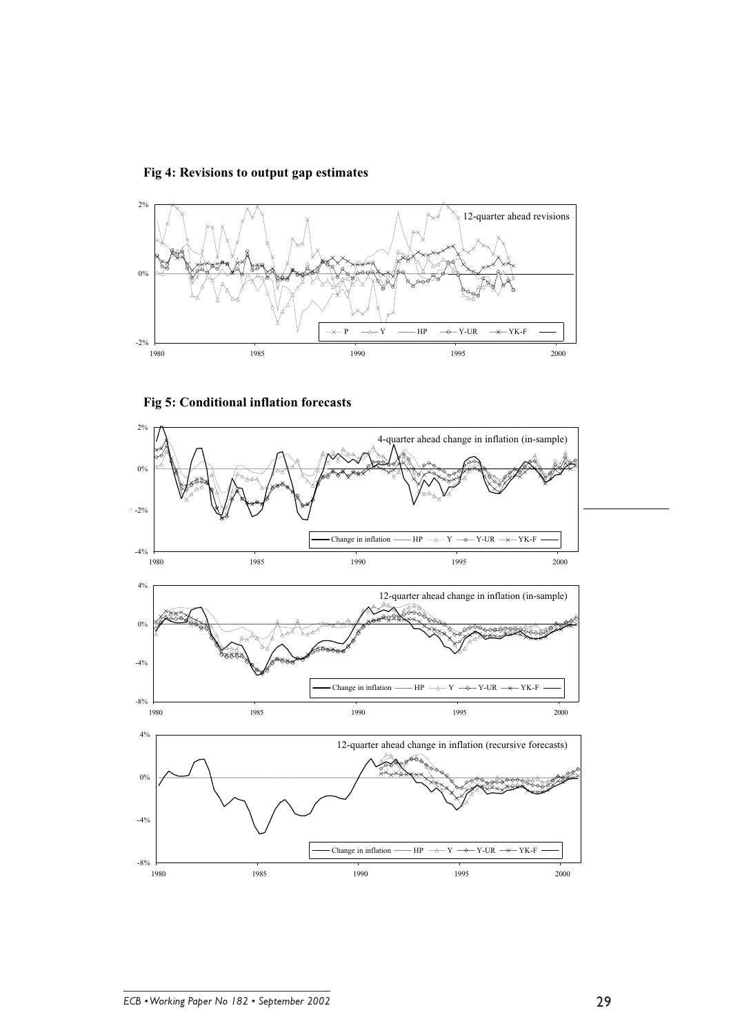





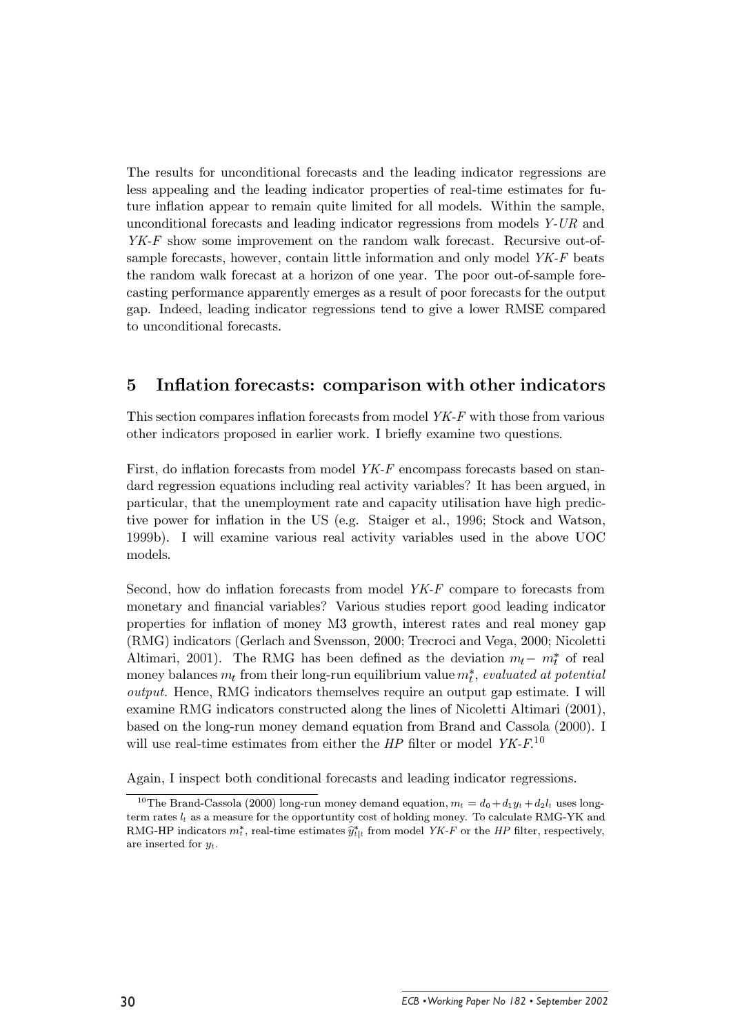The results for unconditional forecasts and the leading indicator regressions are less appealing and the leading indicator properties of real-time estimates for future inflation appear to remain quite limited for all models. Within the sample, unconditional forecasts and leading indicator regressions from models Y-UR and  $YK-F$  show some improvement on the random walk forecast. Recursive out-ofsample forecasts, however, contain little information and only model YK-F beats the random walk forecast at a horizon of one year. The poor out-of-sample forecasting performance apparently emerges as a result of poor forecasts for the output gap. Indeed, leading indicator regressions tend to give a lower RMSE compared to unconditional forecasts.

#### $\overline{5}$ Inflation forecasts: comparison with other indicators

This section compares inflation forecasts from model YK-F with those from various other indicators proposed in earlier work. I briefly examine two questions.

First, do inflation forecasts from model YK-F encompass forecasts based on standard regression equations including real activity variables? It has been argued, in particular, that the unemployment rate and capacity utilisation have high predictive power for inflation in the US (e.g. Staiger et al., 1996; Stock and Watson, 1999b). I will examine various real activity variables used in the above UOC models.

Second, how do inflation forecasts from model  $YK-F$  compare to forecasts from monetary and financial variables? Various studies report good leading indicator properties for inflation of money M3 growth, interest rates and real money gap (RMG) indicators (Gerlach and Svensson, 2000; Trecroci and Vega, 2000; Nicoletti Altimari, 2001). The RMG has been defined as the deviation  $m_t - m_t^*$  of real money balances  $m_t$  from their long-run equilibrium value  $m_t^*$ , evaluated at potential *output.* Hence, RMG indicators themselves require an output gap estimate. I will examine RMG indicators constructed along the lines of Nicoletti Altimari (2001), based on the long-run money demand equation from Brand and Cassola (2000). I will use real-time estimates from either the  $HP$  filter or model  $YK$ - $F$ <sup>10</sup>

Again, I inspect both conditional forecasts and leading indicator regressions.

<sup>&</sup>lt;sup>10</sup>The Brand-Cassola (2000) long-run money demand equation,  $m_t = d_0 + d_1 y_t + d_2 l_t$  uses longterm rates  $l_t$  as a measure for the opportunity cost of holding money. To calculate RMG-YK and RMG-HP indicators  $m_t^*$ , real-time estimates  $\hat{y}_{t|t}^*$  from model YK-F or the HP filter, respectively, are inserted for  $y_t$ .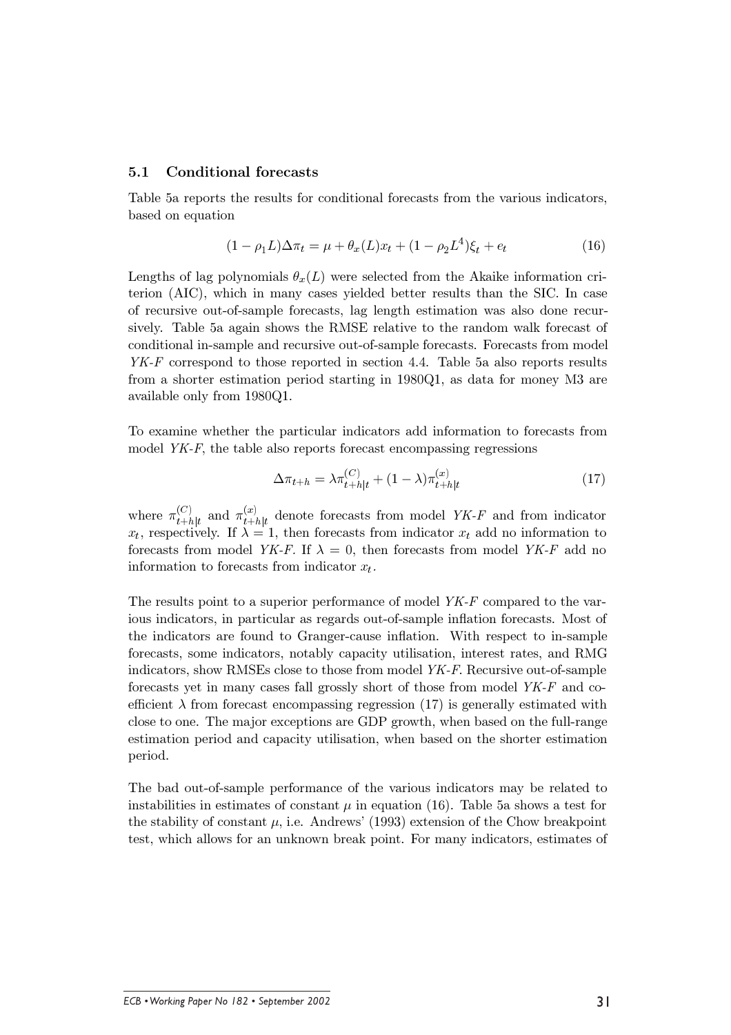#### $5.1$ **Conditional forecasts**

Table 5a reports the results for conditional forecasts from the various indicators, based on equation

$$
(1 - \rho_1 L)\Delta \pi_t = \mu + \theta_x(L)x_t + (1 - \rho_2 L^4)\xi_t + e_t \tag{16}
$$

Lengths of lag polynomials  $\theta_{\tau}(L)$  were selected from the Akaike information criterion (AIC), which in many cases yielded better results than the SIC. In case of recursive out-of-sample forecasts, lag length estimation was also done recursively. Table 5a again shows the RMSE relative to the random walk forecast of conditional in-sample and recursive out-of-sample forecasts. Forecasts from model  $YK-F$  correspond to those reported in section 4.4. Table 5a also reports results from a shorter estimation period starting in 1980Q1, as data for money M3 are available only from 1980Q1.

To examine whether the particular indicators add information to forecasts from model  $YK-F$ , the table also reports forecast encompassing regressions

$$
\Delta \pi_{t+h} = \lambda \pi_{t+h|t}^{(C)} + (1 - \lambda) \pi_{t+h|t}^{(x)}
$$
\n(17)

where  $\pi_{t+h|t}^{(C)}$  and  $\pi_{t+h|t}^{(x)}$  denote forecasts from model YK-F and from indicator  $x_t$ , respectively. If  $\lambda = 1$ , then forecasts from indicator  $x_t$  add no information to forecasts from model YK-F. If  $\lambda = 0$ , then forecasts from model YK-F add no information to forecasts from indicator  $x_t$ .

The results point to a superior performance of model YK-F compared to the various indicators, in particular as regards out-of-sample inflation forecasts. Most of the indicators are found to Granger-cause inflation. With respect to in-sample forecasts, some indicators, notably capacity utilisation, interest rates, and RMG indicators, show RMSEs close to those from model YK-F. Recursive out-of-sample forecasts yet in many cases fall grossly short of those from model YK-F and coefficient  $\lambda$  from forecast encompassing regression (17) is generally estimated with close to one. The major exceptions are GDP growth, when based on the full-range estimation period and capacity utilisation, when based on the shorter estimation period.

The bad out-of-sample performance of the various indicators may be related to instabilities in estimates of constant  $\mu$  in equation (16). Table 5a shows a test for the stability of constant  $\mu$ , i.e. Andrews' (1993) extension of the Chow breakpoint test, which allows for an unknown break point. For many indicators, estimates of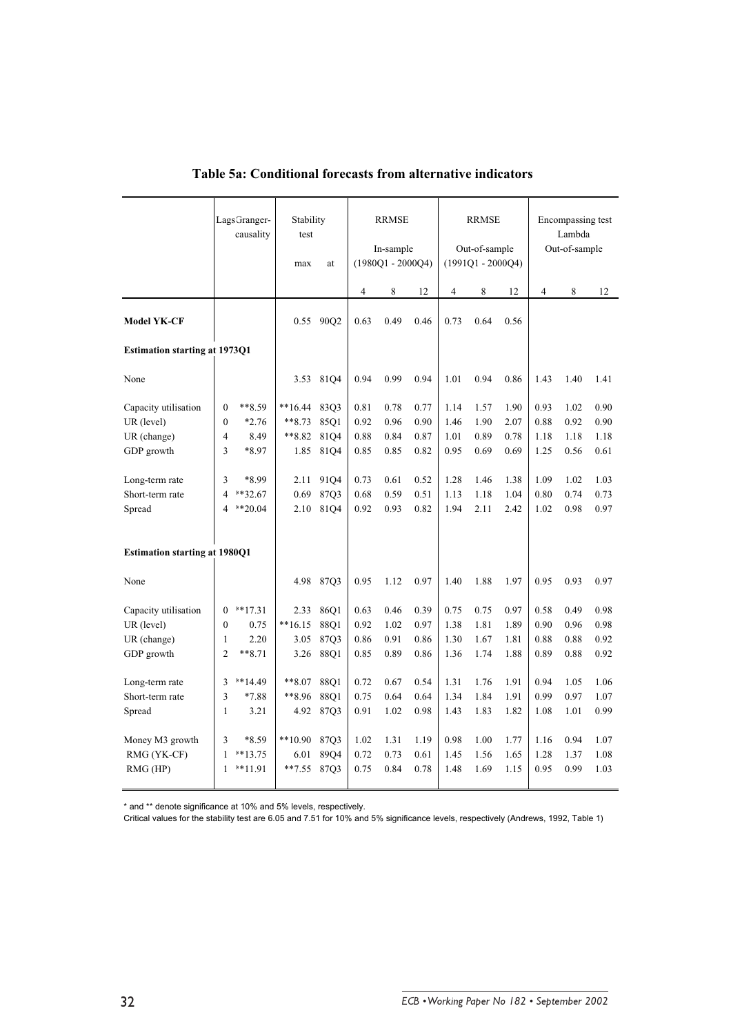|                                      |                          | Lags Granger-<br>causality | Stability<br>test |                  | <b>RRMSE</b> |                                  | <b>RRMSE</b> |      |                                      | Encompassing test<br>Lambda |                |               |      |
|--------------------------------------|--------------------------|----------------------------|-------------------|------------------|--------------|----------------------------------|--------------|------|--------------------------------------|-----------------------------|----------------|---------------|------|
|                                      |                          |                            | max               | at               |              | In-sample<br>$(1980Q1 - 2000Q4)$ |              |      | Out-of-sample<br>$(1991Q1 - 2000Q4)$ |                             |                | Out-of-sample |      |
|                                      |                          |                            |                   |                  | 4            | 8                                | 12           | 4    | 8                                    | 12                          | $\overline{4}$ | 8             | 12   |
| <b>Model YK-CF</b>                   |                          |                            | 0.55              | 90O <sub>2</sub> | 0.63         | 0.49                             | 0.46         | 0.73 | 0.64                                 | 0.56                        |                |               |      |
| <b>Estimation starting at 1973Q1</b> |                          |                            |                   |                  |              |                                  |              |      |                                      |                             |                |               |      |
| None                                 |                          |                            | 3.53              | 8104             | 0.94         | 0.99                             | 0.94         | 1.01 | 0.94                                 | 0.86                        | 1.43           | 1.40          | 1.41 |
| Capacity utilisation                 | $\theta$                 | **8.59                     | $**16.44$         | 8303             | 0.81         | 0.78                             | 0.77         | 1.14 | 1.57                                 | 1.90                        | 0.93           | 1.02          | 0.90 |
| UR (level)                           | $\theta$                 | $*2.76$                    | $***8.73$         | 8501             | 0.92         | 0.96                             | 0.90         | 1.46 | 1.90                                 | 2.07                        | 0.88           | 0.92          | 0.90 |
| UR (change)                          | $\overline{4}$           | 8.49                       | $***8.82$         | 8104             | 0.88         | 0.84                             | 0.87         | 1.01 | 0.89                                 | 0.78                        | 1.18           | 1.18          | 1.18 |
| GDP growth                           | 3                        | *8.97                      | 1.85              | 81Q4             | 0.85         | 0.85                             | 0.82         | 0.95 | 0.69                                 | 0.69                        | 1.25           | 0.56          | 0.61 |
| Long-term rate                       | 3                        | *8.99                      | 2.11              | 9104             | 0.73         | 0.61                             | 0.52         | 1.28 | 1.46                                 | 1.38                        | 1.09           | 1.02          | 1.03 |
| Short-term rate                      | $\overline{\mathcal{L}}$ | **32.67                    | 0.69              | 8703             | 0.68         | 0.59                             | 0.51         | 1.13 | 1.18                                 | 1.04                        | 0.80           | 0.74          | 0.73 |
| Spread                               | $\overline{\mathbf{4}}$  | $*20.04$                   | 2.10              | 81Q4             | 0.92         | 0.93                             | 0.82         | 1.94 | 2.11                                 | 2.42                        | 1.02           | 0.98          | 0.97 |
| <b>Estimation starting at 1980Q1</b> |                          |                            |                   |                  |              |                                  |              |      |                                      |                             |                |               |      |
| None                                 |                          |                            | 4.98              | 87Q3             | 0.95         | 1.12                             | 0.97         | 1.40 | 1.88                                 | 1.97                        | 0.95           | 0.93          | 0.97 |
| Capacity utilisation                 | $\boldsymbol{0}$         | $**17.31$                  | 2.33              | 86Q1             | 0.63         | 0.46                             | 0.39         | 0.75 | 0.75                                 | 0.97                        | 0.58           | 0.49          | 0.98 |
| UR (level)                           | $\mathbf{0}$             | 0.75                       | $**16.15$         | 88O1             | 0.92         | 1.02                             | 0.97         | 1.38 | 1.81                                 | 1.89                        | 0.90           | 0.96          | 0.98 |
| UR (change)                          | $\mathbf{1}$             | 2.20                       | 3.05              | 87Q3             | 0.86         | 0.91                             | 0.86         | 1.30 | 1.67                                 | 1.81                        | 0.88           | 0.88          | 0.92 |
| GDP growth                           | 2                        | $***8.71$                  | 3.26              | 88Q1             | 0.85         | 0.89                             | 0.86         | 1.36 | 1.74                                 | 1.88                        | 0.89           | 0.88          | 0.92 |
| Long-term rate                       | 3                        | **14.49                    | $***8.07$         | 88Q1             | 0.72         | 0.67                             | 0.54         | 1.31 | 1.76                                 | 1.91                        | 0.94           | 1.05          | 1.06 |
| Short-term rate                      | 3                        | $*7.88$                    | **8.96            | 88Q1             | 0.75         | 0.64                             | 0.64         | 1.34 | 1.84                                 | 1.91                        | 0.99           | 0.97          | 1.07 |
| Spread                               | $\mathbf{1}$             | 3.21                       |                   | 4.92 87Q3        | 0.91         | 1.02                             | 0.98         | 1.43 | 1.83                                 | 1.82                        | 1.08           | 1.01          | 0.99 |
| Money M3 growth                      | 3                        | *8.59                      | $**10.90$         | 8703             | 1.02         | 1.31                             | 1.19         | 0.98 | 1.00                                 | 1.77                        | 1.16           | 0.94          | 1.07 |
| RMG (YK-CF)                          | 1                        | $**13.75$                  | 6.01              | 89Q4             | 0.72         | 0.73                             | 0.61         | 1.45 | 1.56                                 | 1.65                        | 1.28           | 1.37          | 1.08 |
| RMG (HP)                             | 1                        | $**11.91$                  | $**7.55$          | 87Q3             | 0.75         | 0.84                             | 0.78         | 1.48 | 1.69                                 | 1.15                        | 0.95           | 0.99          | 1.03 |

### **Table 5a: Conditional forecasts from alternative indicators**

\* and \*\* denote significance at 10% and 5% levels, respectively.

Critical values for the stability test are 6.05 and 7.51 for 10% and 5% significance levels, respectively (Andrews, 1992, Table 1)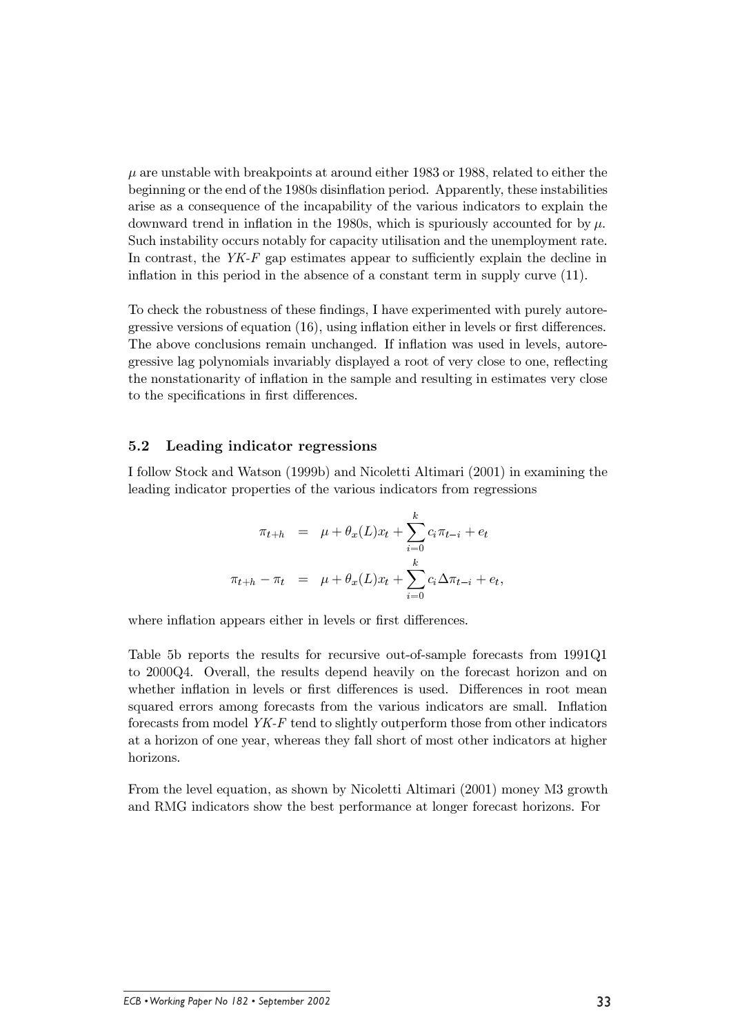$\mu$  are unstable with breakpoints at around either 1983 or 1988, related to either the beginning or the end of the 1980s disinflation period. Apparently, these instabilities arise as a consequence of the incapability of the various indicators to explain the downward trend in inflation in the 1980s, which is spuriously accounted for by  $\mu$ . Such instability occurs notably for capacity utilisation and the unemployment rate. In contrast, the  $YK-F$  gap estimates appear to sufficiently explain the decline in inflation in this period in the absence of a constant term in supply curve  $(11)$ .

To check the robustness of these findings, I have experimented with purely autoregressive versions of equation  $(16)$ , using inflation either in levels or first differences. The above conclusions remain unchanged. If inflation was used in levels, autoregressive lag polynomials invariably displayed a root of very close to one, reflecting the nonstationarity of inflation in the sample and resulting in estimates very close to the specifications in first differences.

#### $5.2$ Leading indicator regressions

I follow Stock and Watson (1999b) and Nicoletti Altimari (2001) in examining the leading indicator properties of the various indicators from regressions

$$
\pi_{t+h} = \mu + \theta_x(L)x_t + \sum_{i=0}^k c_i \pi_{t-i} + e_t
$$
  

$$
\pi_{t+h} - \pi_t = \mu + \theta_x(L)x_t + \sum_{i=0}^k c_i \Delta \pi_{t-i} + e_t,
$$

where inflation appears either in levels or first differences.

Table 5b reports the results for recursive out-of-sample forecasts from 1991Q1 to 2000Q4. Overall, the results depend heavily on the forecast horizon and on whether inflation in levels or first differences is used. Differences in root mean squared errors among forecasts from the various indicators are small. Inflation forecasts from model YK-F tend to slightly outperform those from other indicators at a horizon of one year, whereas they fall short of most other indicators at higher horizons.

From the level equation, as shown by Nicoletti Altimari (2001) money M3 growth and RMG indicators show the best performance at longer forecast horizons. For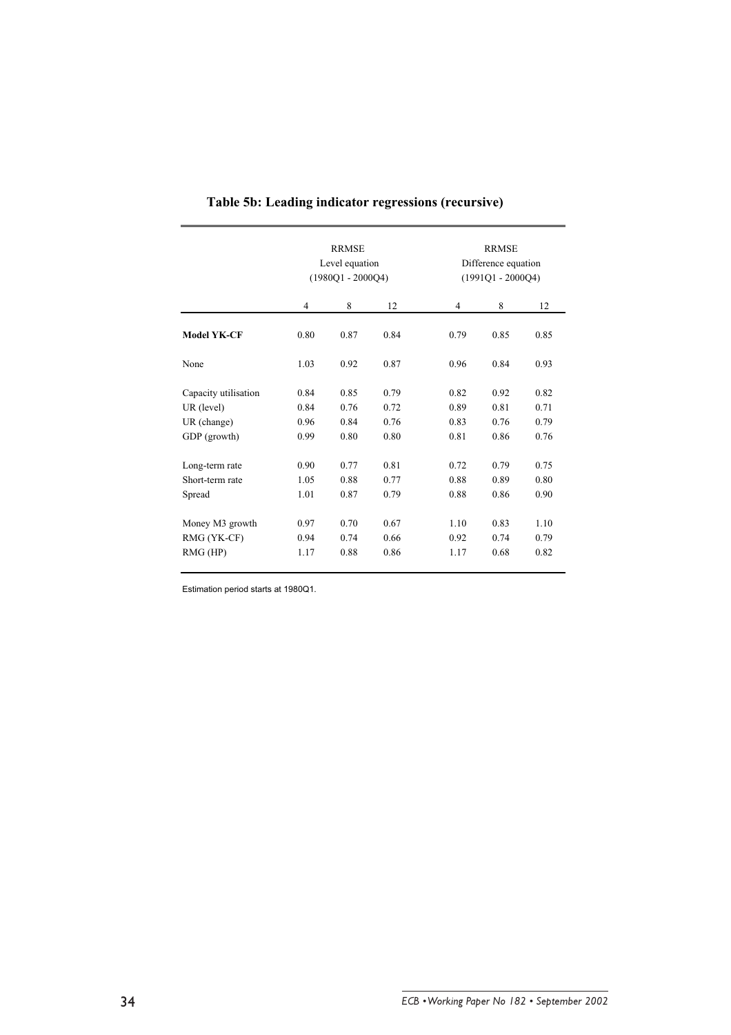|                      |                | <b>RRMSE</b><br>Level equation<br>$(1980Q1 - 2000Q4)$ |      | <b>RRMSE</b><br>Difference equation<br>$(1991Q1 - 2000Q4)$ |      |      |  |
|----------------------|----------------|-------------------------------------------------------|------|------------------------------------------------------------|------|------|--|
|                      | $\overline{4}$ | 8                                                     | 12   | 4                                                          | 8    | 12   |  |
| <b>Model YK-CF</b>   | 0.80           | 0.87                                                  | 0.84 | 0.79                                                       | 0.85 | 0.85 |  |
| None                 | 1.03           | 0.92                                                  | 0.87 | 0.96                                                       | 0.84 | 0.93 |  |
| Capacity utilisation | 0.84           | 0.85                                                  | 0.79 | 0.82                                                       | 0.92 | 0.82 |  |
| UR (level)           | 0.84           | 0.76                                                  | 0.72 | 0.89                                                       | 0.81 | 0.71 |  |
| UR (change)          | 0.96           | 0.84                                                  | 0.76 | 0.83                                                       | 0.76 | 0.79 |  |
| GDP (growth)         | 0.99           | 0.80                                                  | 0.80 | 0.81                                                       | 0.86 | 0.76 |  |
| Long-term rate       | 0.90           | 0.77                                                  | 0.81 | 0.72                                                       | 0.79 | 0.75 |  |
| Short-term rate      | 1.05           | 0.88                                                  | 0.77 | 0.88                                                       | 0.89 | 0.80 |  |
| Spread               | 1.01           | 0.87                                                  | 0.79 | 0.88                                                       | 0.86 | 0.90 |  |
| Money M3 growth      | 0.97           | 0.70                                                  | 0.67 | 1.10                                                       | 0.83 | 1.10 |  |
| RMG (YK-CF)          | 0.94           | 0.74                                                  | 0.66 | 0.92                                                       | 0.74 | 0.79 |  |
| $RMG$ (HP)           | 1.17           | 0.88                                                  | 0.86 | 1.17                                                       | 0.68 | 0.82 |  |

## **Table 5b: Leading indicator regressions (recursive)**

Estimation period starts at 1980Q1.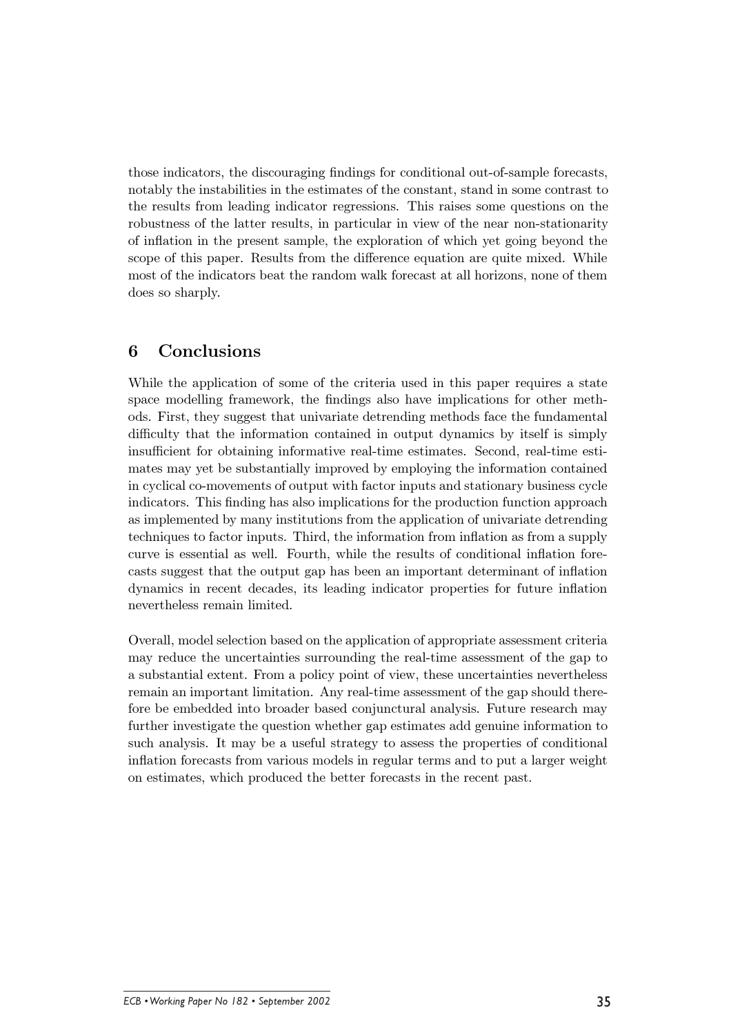those indicators, the discouraging findings for conditional out-of-sample forecasts, notably the instabilities in the estimates of the constant, stand in some contrast to the results from leading indicator regressions. This raises some questions on the robustness of the latter results, in particular in view of the near non-stationarity of inflation in the present sample, the exploration of which yet going beyond the scope of this paper. Results from the difference equation are quite mixed. While most of the indicators beat the random walk forecast at all horizons, none of them does so sharply.

#### 6 Conclusions

While the application of some of the criteria used in this paper requires a state space modelling framework, the findings also have implications for other methods. First, they suggest that univariate determing methods face the fundamental difficulty that the information contained in output dynamics by itself is simply insufficient for obtaining informative real-time estimates. Second, real-time estimates may vet be substantially improved by employing the information contained in cyclical co-movements of output with factor inputs and stationary business cycle indicators. This finding has also implications for the production function approach as implemented by many institutions from the application of univariate determing techniques to factor inputs. Third, the information from inflation as from a supply curve is essential as well. Fourth, while the results of conditional inflation forecasts suggest that the output gap has been an important determinant of inflation dynamics in recent decades, its leading indicator properties for future inflation nevertheless remain limited.

Overall, model selection based on the application of appropriate assessment criteria may reduce the uncertainties surrounding the real-time assessment of the gap to a substantial extent. From a policy point of view, these uncertainties nevertheless remain an important limitation. Any real-time assessment of the gap should therefore be embedded into broader based conjunctural analysis. Future research may further investigate the question whether gap estimates add genuine information to such analysis. It may be a useful strategy to assess the properties of conditional inflation forecasts from various models in regular terms and to put a larger weight on estimates, which produced the better forecasts in the recent past.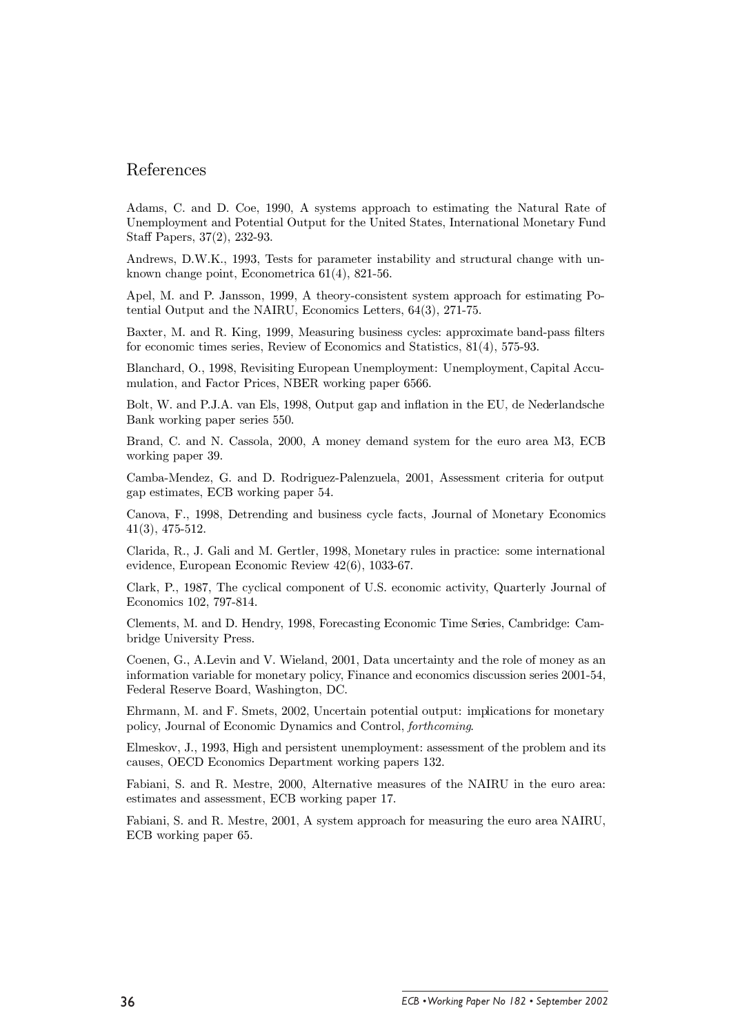## References

Adams, C. and D. Coe, 1990, A systems approach to estimating the Natural Rate of Unemployment and Potential Output for the United States, International Monetary Fund Staff Papers, 37(2), 232-93.

Andrews, D.W.K., 1993, Tests for parameter instability and structural change with unknown change point, Econometrica  $61(4)$ ,  $821-56$ .

Apel, M. and P. Jansson, 1999, A theory-consistent system approach for estimating Potential Output and the NAIRU, Economics Letters,  $64(3)$ ,  $271-75$ .

Baxter, M. and R. King, 1999, Measuring business cycles: approximate band-pass filters for economic times series, Review of Economics and Statistics,  $81(4)$ , 575-93.

Blanchard, O., 1998, Revisiting European Unemployment: Unemployment, Capital Accumulation, and Factor Prices, NBER working paper 6566.

Bolt, W. and P.J.A. van Els, 1998, Output gap and inflation in the EU, de Nederlandsche Bank working paper series 550.

Brand, C. and N. Cassola, 2000. A money demand system for the euro area M3, ECB working paper 39.

Camba-Mendez, G. and D. Rodriguez-Palenzuela, 2001, Assessment criteria for output gap estimates, ECB working paper 54.

Canova, F., 1998, Detrending and business cycle facts, Journal of Monetary Economics  $41(3), 475-512.$ 

Clarida, R., J. Gali and M. Gertler, 1998, Monetary rules in practice: some international evidence, European Economic Review 42(6), 1033-67.

Clark, P., 1987, The cyclical component of U.S. economic activity, Quarterly Journal of Economics 102, 797-814.

Clements, M. and D. Hendry, 1998, Forecasting Economic Time Series, Cambridge: Cambridge University Press.

Coenen, G., A.Levin and V. Wieland, 2001, Data uncertainty and the role of money as an information variable for monetary policy, Finance and economics discussion series 2001-54, Federal Reserve Board, Washington, DC.

Ehrmann, M. and F. Smets, 2002, Uncertain potential output: implications for monetary policy, Journal of Economic Dynamics and Control, forthcoming.

Elmeskov, J., 1993. High and persistent unemployment: assessment of the problem and its causes, OECD Economics Department working papers 132.

Fabiani, S. and R. Mestre, 2000, Alternative measures of the NAIRU in the euro area: estimates and assessment, ECB working paper 17.

Fabiani, S. and R. Mestre, 2001, A system approach for measuring the euro area NAIRU. ECB working paper 65.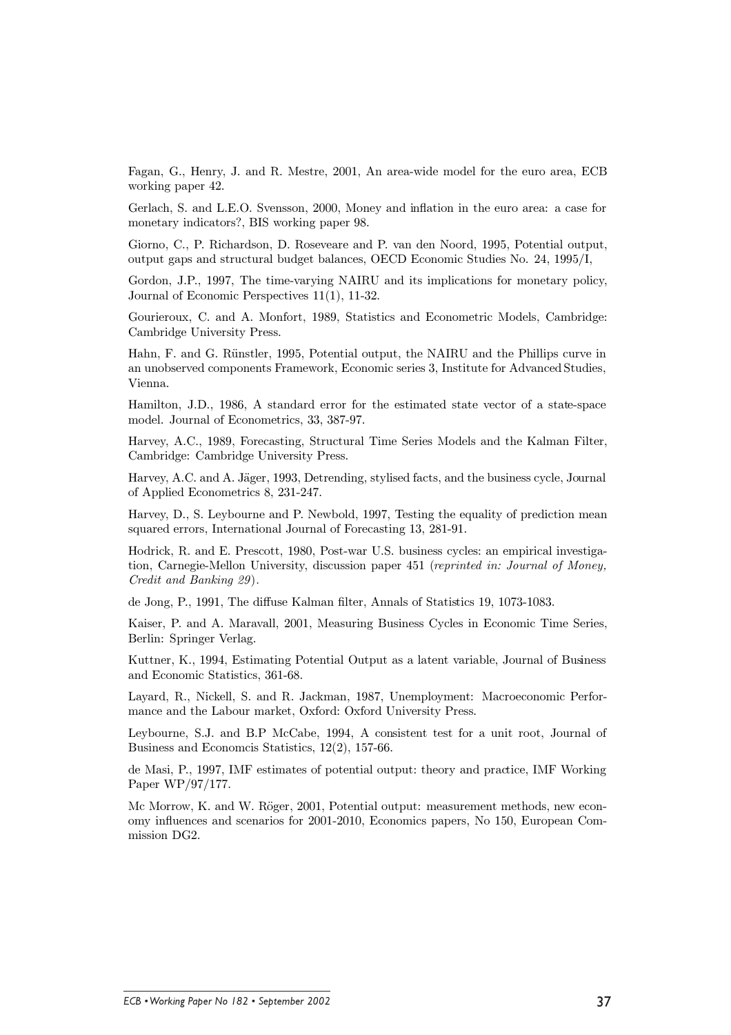Fagan, G., Henry, J. and R. Mestre, 2001. An area-wide model for the euro area. ECB working paper 42.

Gerlach, S. and L.E.O. Svensson, 2000, Money and inflation in the euro area: a case for monetary indicators?, BIS working paper 98.

Giorno, C., P. Richardson, D. Roseveare and P. van den Noord, 1995, Potential output, output gaps and structural budget balances, OECD Economic Studies No. 24, 1995/I,

Gordon, J.P., 1997, The time-varying NAIRU and its implications for monetary policy, Journal of Economic Perspectives  $11(1)$ ,  $11-32$ .

Gourieroux, C. and A. Monfort, 1989, Statistics and Econometric Models, Cambridge: Cambridge University Press.

Hahn, F. and G. Rünstler, 1995, Potential output, the NAIRU and the Phillips curve in an unobserved components Framework, Economic series 3, Institute for Advanced Studies, Vienna.

Hamilton, J.D., 1986, A standard error for the estimated state vector of a state-space model. Journal of Econometrics, 33, 387-97.

Harvey, A.C., 1989. Forecasting, Structural Time Series Models and the Kalman Filter. Cambridge: Cambridge University Press.

Harvey, A.C. and A. Jäger, 1993, Detrending, stylised facts, and the business cycle, Journal of Applied Econometrics 8, 231-247.

Harvey, D., S. Levbourne and P. Newbold, 1997. Testing the equality of prediction mean squared errors, International Journal of Forecasting 13, 281-91.

Hodrick, R. and E. Prescott, 1980, Post-war U.S. business cycles: an empirical investigation, Carnegie-Mellon University, discussion paper 451 (reprinted in: Journal of Money, Credit and Banking 29).

de Jong, P., 1991. The diffuse Kalman filter. Annals of Statistics 19, 1073-1083.

Kaiser, P. and A. Maravall, 2001, Measuring Business Cycles in Economic Time Series, Berlin: Springer Verlag.

Kuttner, K., 1994, Estimating Potential Output as a latent variable, Journal of Business and Economic Statistics, 361-68.

Layard, R., Nickell, S. and R. Jackman, 1987, Unemployment: Macroeconomic Performance and the Labour market, Oxford: Oxford University Press.

Leybourne, S.J. and B.P McCabe, 1994, A consistent test for a unit root, Journal of Business and Economics Statistics, 12(2), 157-66.

de Masi, P., 1997, IMF estimates of potential output: theory and practice, IMF Working Paper WP/97/177.

Mc Morrow, K. and W. Röger, 2001, Potential output: measurement methods, new economy influences and scenarios for 2001-2010, Economics papers, No 150, European Commission DG2.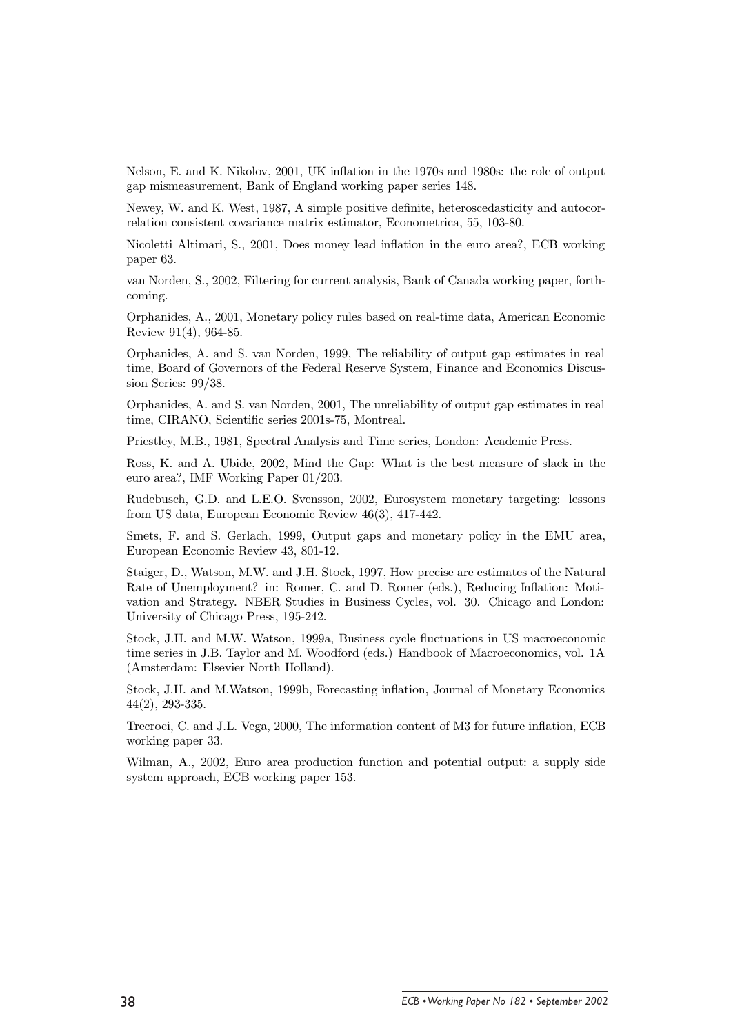Nelson, E. and K. Nikolov, 2001, UK inflation in the 1970s and 1980s; the role of output gap mismeasurement. Bank of England working paper series 148.

Newey, W. and K. West, 1987, A simple positive definite, heteroscedasticity and autocorrelation consistent covariance matrix estimator, Econometrica, 55, 103-80.

Nicoletti Altimari, S., 2001, Does money lead inflation in the euro area?, ECB working paper 63.

van Norden, S., 2002, Filtering for current analysis, Bank of Canada working paper, forthcoming.

Orphanides, A., 2001, Monetary policy rules based on real-time data, American Economic Review 91(4), 964-85.

Orphanides, A. and S. van Norden, 1999, The reliability of output gap estimates in real time, Board of Governors of the Federal Reserve System, Finance and Economics Discussion Series:  $99/38$ .

Orphanides, A. and S. van Norden, 2001, The unreliability of output gap estimates in real time, CIRANO, Scientific series 2001s-75, Montreal.

Priestlev, M.B., 1981, Spectral Analysis and Time series, London: Academic Press.

Ross, K. and A. Ubide, 2002, Mind the Gap: What is the best measure of slack in the euro area?, IMF Working Paper 01/203.

Rudebusch, G.D. and L.E.O. Svensson, 2002, Eurosystem monetary targeting: lessons from US data, European Economic Review 46(3), 417-442.

Smets, F. and S. Gerlach, 1999, Output gaps and monetary policy in the EMU area, European Economic Review 43, 801-12.

Staiger, D., Watson, M.W. and J.H. Stock, 1997, How precise are estimates of the Natural Rate of Unemployment? in: Romer, C. and D. Romer (eds.), Reducing Inflation: Motivation and Strategy. NBER Studies in Business Cycles, vol. 30. Chicago and London: University of Chicago Press, 195-242.

Stock, J.H. and M.W. Watson, 1999a, Business cycle fluctuations in US macroeconomic time series in J.B. Taylor and M. Woodford (eds.) Handbook of Macroeconomics, vol. 1A (Amsterdam: Elsevier North Holland).

Stock, J.H. and M.Watson, 1999b, Forecasting inflation, Journal of Monetary Economics  $44(2), 293-335.$ 

Trecroci, C. and J.L. Vega, 2000, The information content of M3 for future inflation, ECB working paper 33.

Wilman, A., 2002. Euro area production function and potential output: a supply side system approach, ECB working paper 153.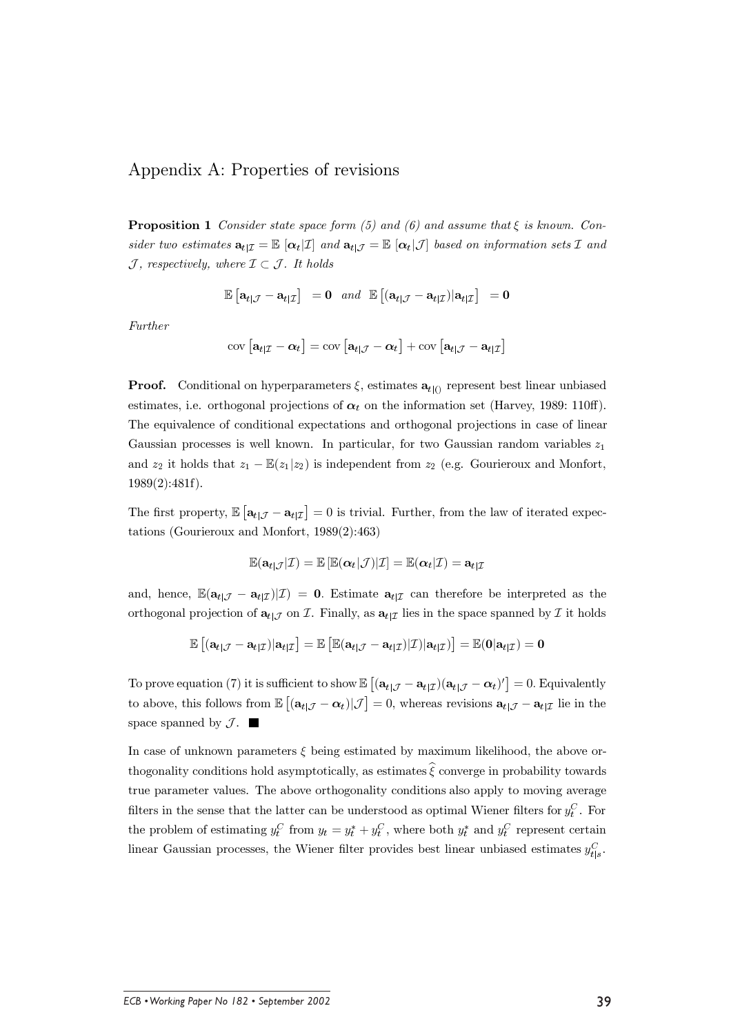## Appendix A: Properties of revisions

**Proposition 1** Consider state space form (5) and (6) and assume that  $\xi$  is known. Consider two estimates  $\mathbf{a}_{t|\mathcal{I}} = \mathbb{E} [\alpha_t | \mathcal{I}]$  and  $\mathbf{a}_{t|\mathcal{I}} = \mathbb{E} [\alpha_t | \mathcal{I}]$  based on information sets  $\mathcal{I}$  and  $\mathcal J$ , respectively, where  $\mathcal I \subset \mathcal J$ . It holds

$$
\mathbb{E}\left[\mathbf{a}_{t|\mathcal{J}} - \mathbf{a}_{t|\mathcal{I}}\right] = \mathbf{0} \text{ and } \mathbb{E}\left[\left(\mathbf{a}_{t|\mathcal{J}} - \mathbf{a}_{t|\mathcal{I}}\right)|\mathbf{a}_{t|\mathcal{I}}\right] = \mathbf{0}
$$

Further

$$
\text{cov}\left[\mathbf{a}_{t|\mathcal{I}}-\boldsymbol{\alpha}_{t}\right]=\text{cov}\left[\mathbf{a}_{t|\mathcal{J}}-\boldsymbol{\alpha}_{t}\right]+\text{cov}\left[\mathbf{a}_{t|\mathcal{J}}-\mathbf{a}_{t|\mathcal{I}}\right]
$$

**Proof.** Conditional on hyperparameters  $\xi$ , estimates  $a_{t(1)}$  represent best linear unbiased estimates, i.e. orthogonal projections of  $\alpha_t$  on the information set (Harvey, 1989: 110ff). The equivalence of conditional expectations and orthogonal projections in case of linear Gaussian processes is well known. In particular, for two Gaussian random variables  $z_1$ and  $z_2$  it holds that  $z_1 - \mathbb{E}(z_1|z_2)$  is independent from  $z_2$  (e.g. Gourieroux and Monfort,  $1989(2):481f$ .

The first property,  $\mathbb{E} [\mathbf{a}_{t|\mathcal{J}} - \mathbf{a}_{t|\mathcal{I}}] = 0$  is trivial. Further, from the law of iterated expectations (Gourieroux and Monfort,  $1989(2):463$ )

$$
\mathbb{E}(\mathbf{a}_{t|\mathcal{J}}|\mathcal{I}) = \mathbb{E}\left[\mathbb{E}(\boldsymbol{\alpha}_t|\mathcal{J})|\mathcal{I}\right] = \mathbb{E}(\boldsymbol{\alpha}_t|\mathcal{I}) = \mathbf{a}_{t|\mathcal{I}}
$$

and, hence,  $\mathbb{E}(\mathbf{a}_{t|\mathcal{J}} - \mathbf{a}_{t|\mathcal{I}})|\mathcal{I}) = 0$ . Estimate  $\mathbf{a}_{t|\mathcal{I}}$  can therefore be interpreted as the orthogonal projection of  $\mathbf{a}_{t|J}$  on *T*. Finally, as  $\mathbf{a}_{t|J}$  lies in the space spanned by *T* it holds

$$
\mathbb{E}\left[(\mathbf{a}_{t|\mathcal{J}} - \mathbf{a}_{t|\mathcal{I}})|\mathbf{a}_{t|\mathcal{I}}\right] = \mathbb{E}\left[\mathbb{E}(\mathbf{a}_{t|\mathcal{J}} - \mathbf{a}_{t|\mathcal{I}})|\mathcal{I})|\mathbf{a}_{t|\mathcal{I}})\right] = \mathbb{E}(\mathbf{0}|\mathbf{a}_{t|\mathcal{I}}) = \mathbf{0}
$$

To prove equation (7) it is sufficient to show  $\mathbb{E}[(\mathbf{a}_{t|\mathcal{J}} - \mathbf{a}_{t|\mathcal{I}})(\mathbf{a}_{t|\mathcal{J}} - \alpha_t)']=0$ . Equivalently to above, this follows from  $\mathbb{E}[(\mathbf{a}_{t|\mathcal{J}} - \alpha_t)|\mathcal{J}] = 0$ , whereas revisions  $\mathbf{a}_{t|\mathcal{J}} - \mathbf{a}_{t|\mathcal{I}}$  lie in the space spanned by  $\mathcal{J}$ .

In case of unknown parameters  $\xi$  being estimated by maximum likelihood, the above orthogonality conditions hold asymptotically, as estimates  $\hat{\xi}$  converge in probability towards true parameter values. The above orthogonality conditions also apply to moving average filters in the sense that the latter can be understood as optimal Wiener filters for  $y_t^C$ . For the problem of estimating  $y_t^C$  from  $y_t = y_t^* + y_t^C$ , where both  $y_t^*$  and  $y_t^C$  represent certain linear Gaussian processes, the Wiener filter provides best linear unbiased estimates  $y_{t|s}^C$ .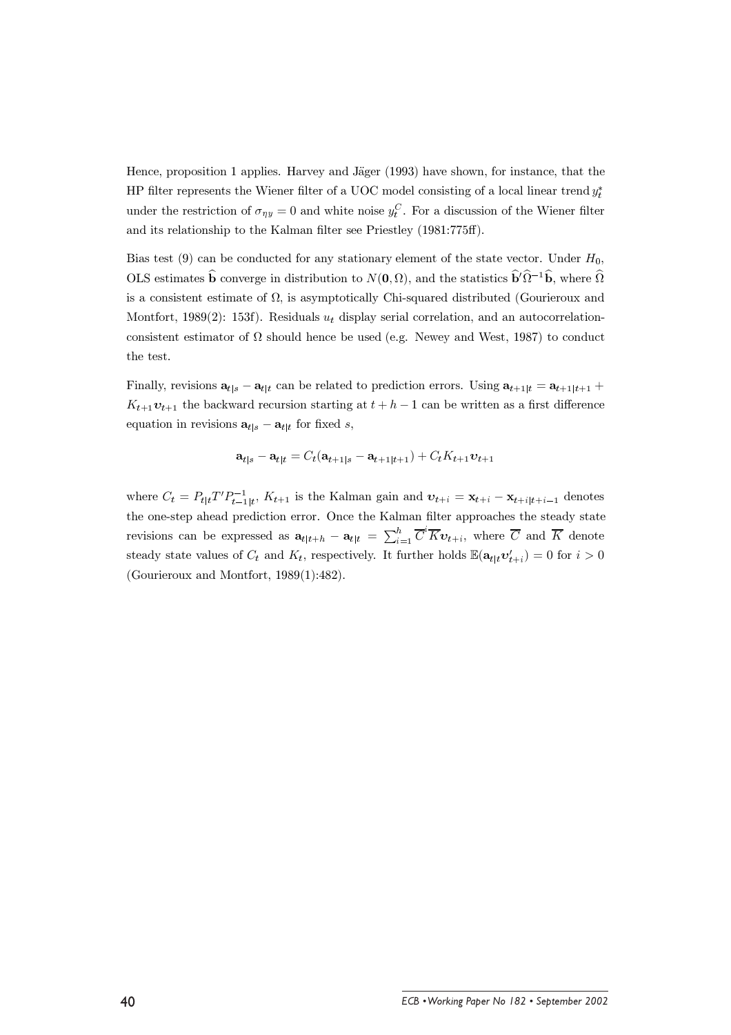Hence, proposition 1 applies. Harvey and Jäger (1993) have shown, for instance, that the HP filter represents the Wiener filter of a UOC model consisting of a local linear trend  $y_t^*$ under the restriction of  $\sigma_{\eta y} = 0$  and white noise  $y_t^C$ . For a discussion of the Wiener filter and its relationship to the Kalman filter see Priestley (1981:775ff).

Bias test (9) can be conducted for any stationary element of the state vector. Under  $H_0$ , OLS estimates  $\hat{\mathbf{b}}$  converge in distribution to  $N(\mathbf{0}, \Omega)$ , and the statistics  $\hat{\mathbf{b}}^{\prime} \hat{\Omega}^{-1} \hat{\mathbf{b}}$ , where  $\hat{\Omega}$ is a consistent estimate of  $\Omega$ , is asymptotically Chi-squared distributed (Gourieroux and Montfort, 1989(2): 153f). Residuals  $u_t$  display serial correlation, and an autocorrelationconsistent estimator of  $\Omega$  should hence be used (e.g. Newey and West, 1987) to conduct the test.

Finally, revisions  $\mathbf{a}_{t|s} - \mathbf{a}_{t|t}$  can be related to prediction errors. Using  $\mathbf{a}_{t+1|t} = \mathbf{a}_{t+1|t+1} + \mathbf{a}_{t+1|t+1}$  $K_{t+1}v_{t+1}$  the backward recursion starting at  $t + h - 1$  can be written as a first difference equation in revisions  $\mathbf{a}_{t|s} - \mathbf{a}_{t|t}$  for fixed s,

$$
\mathbf{a}_{t|s} - \mathbf{a}_{t|t} = C_t(\mathbf{a}_{t+1|s} - \mathbf{a}_{t+1|t+1}) + C_t K_{t+1} \mathbf{v}_{t+1}
$$

where  $C_t = P_{t|t}T'P_{t-1|t}^{-1}$ ,  $K_{t+1}$  is the Kalman gain and  $\mathbf{v}_{t+i} = \mathbf{x}_{t+i} - \mathbf{x}_{t+i|t+i-1}$  denotes the one-step ahead prediction error. Once the Kalman filter approaches the steady state revisions can be expressed as  $\mathbf{a}_{t|t+h} - \mathbf{a}_{t|t} = \sum_{i=1}^{h} \overline{C}^i \overline{K} \mathbf{v}_{t+i}$ , where  $\overline{C}$  and  $\overline{K}$  denote steady state values of  $C_t$  and  $K_t$ , respectively. It further holds  $\mathbb{E}(\mathbf{a}_{t|t} \mathbf{v}'_{t+i}) = 0$  for  $i > 0$ (Gourieroux and Montfort,  $1989(1):482$ ).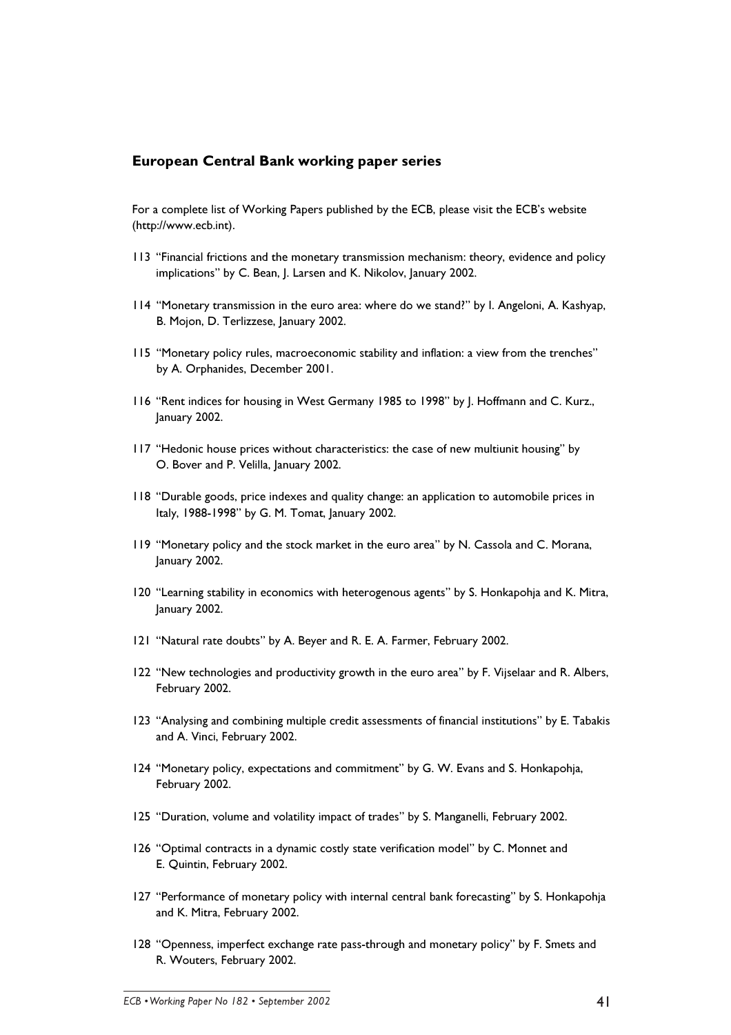### **European Central Bank working paper series**

For a complete list of Working Papers published by the ECB, please visit the ECB's website (http://www.ecb.int).

- 113 "Financial frictions and the monetary transmission mechanism: theory, evidence and policy implications" by C. Bean, J. Larsen and K. Nikolov, January 2002.
- 114 "Monetary transmission in the euro area: where do we stand?" by I. Angeloni, A. Kashyap, B. Mojon, D. Terlizzese, January 2002.
- 115 "Monetary policy rules, macroeconomic stability and inflation: a view from the trenches" by A. Orphanides, December 2001.
- 116 "Rent indices for housing in West Germany 1985 to 1998" by J. Hoffmann and C. Kurz., January 2002.
- 117 "Hedonic house prices without characteristics: the case of new multiunit housing" by O. Bover and P. Velilla, January 2002.
- 118 "Durable goods, price indexes and quality change: an application to automobile prices in Italy, 1988-1998" by G. M. Tomat, January 2002.
- 119 "Monetary policy and the stock market in the euro area" by N. Cassola and C. Morana, January 2002.
- 120 "Learning stability in economics with heterogenous agents" by S. Honkapohja and K. Mitra, January 2002.
- 121 "Natural rate doubts" by A. Beyer and R. E. A. Farmer, February 2002.
- 122 "New technologies and productivity growth in the euro area" by F. Vijselaar and R. Albers, February 2002.
- 123 "Analysing and combining multiple credit assessments of financial institutions" by E. Tabakis and A. Vinci, February 2002.
- 124 "Monetary policy, expectations and commitment" by G. W. Evans and S. Honkapohia, February 2002.
- 125 "Duration, volume and volatility impact of trades" by S. Manganelli, February 2002.
- 126 "Optimal contracts in a dynamic costly state verification model" by C. Monnet and E. Quintin, February 2002.
- 127 "Performance of monetary policy with internal central bank forecasting" by S. Honkapohia and K. Mitra. February 2002.
- 128 "Openness, imperfect exchange rate pass-through and monetary policy" by F. Smets and R. Wouters, February 2002.

ECB . Working Paber No 182 . September 2002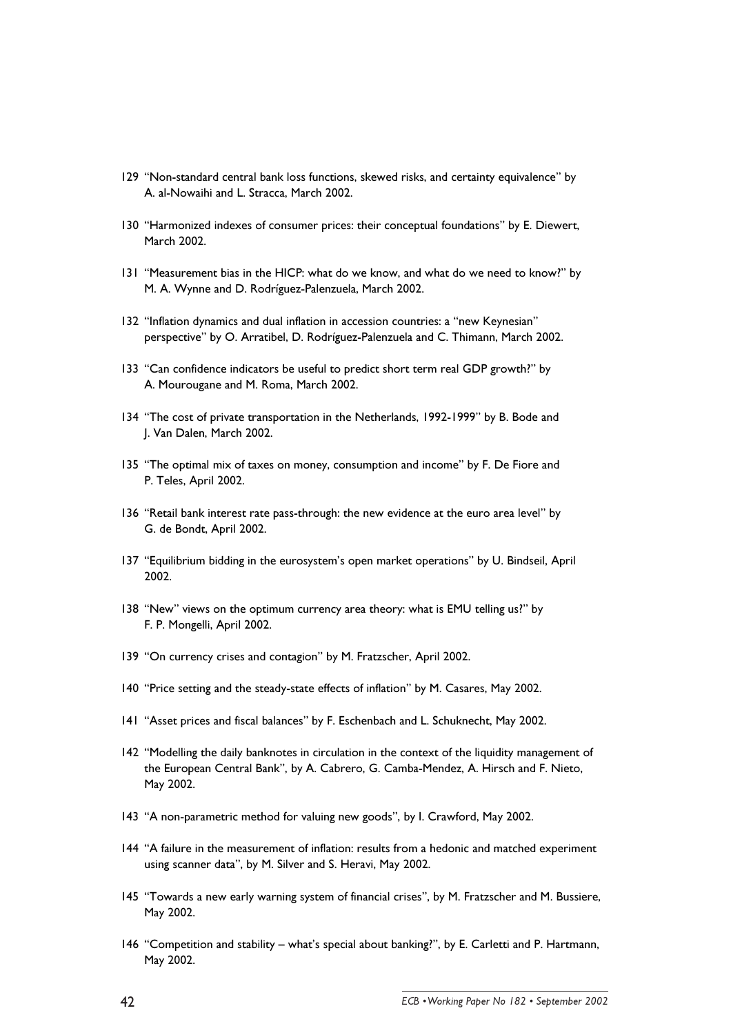- 129 "Non-standard central bank loss functions, skewed risks, and certainty equivalence" by A. al-Nowaihi and L. Stracca, March 2002.
- 130 "Harmonized indexes of consumer prices: their conceptual foundations" by E. Diewert, March 2002.
- 131 "Measurement bias in the HICP: what do we know, and what do we need to know?" by M. A. Wynne and D. Rodríguez-Palenzuela, March 2002.
- 132 "Inflation dynamics and dual inflation in accession countries: a "new Keynesian" perspective" by O. Arratibel, D. Rodríguez-Palenzuela and C. Thimann, March 2002.
- 133 "Can confidence indicators be useful to predict short term real GDP growth?" by A. Mourougane and M. Roma, March 2002.
- 134 "The cost of private transportation in the Netherlands, 1992-1999" by B. Bode and J. Van Dalen, March 2002.
- 135 "The optimal mix of taxes on money, consumption and income" by F. De Fiore and P. Teles, April 2002.
- 136 "Retail bank interest rate pass-through: the new evidence at the euro area level" by G. de Bondt, April 2002.
- 137 "Equilibrium bidding in the eurosystem's open market operations" by U. Bindseil, April 2002.
- 138 "New" views on the optimum currency area theory: what is EMU telling us?" by F. P. Mongelli, April 2002.
- 139 "On currency crises and contagion" by M. Fratzscher, April 2002.
- 140 "Price setting and the steady-state effects of inflation" by M. Casares, May 2002.
- 141 "Asset prices and fiscal balances" by F. Eschenbach and L. Schuknecht, May 2002.
- 142 "Modelling the daily banknotes in circulation in the context of the liquidity management of the European Central Bank", by A. Cabrero, G. Camba-Mendez, A. Hirsch and F. Nieto, May 2002.
- 143 "A non-parametric method for valuing new goods", by I. Crawford, May 2002.
- 144 "A failure in the measurement of inflation: results from a hedonic and matched experiment using scanner data", by M. Silver and S. Heravi, May 2002.
- 145 "Towards a new early warning system of financial crises", by M. Fratzscher and M. Bussiere, May 2002.
- 146 "Competition and stability what's special about banking?", by E. Carletti and P. Hartmann, May 2002.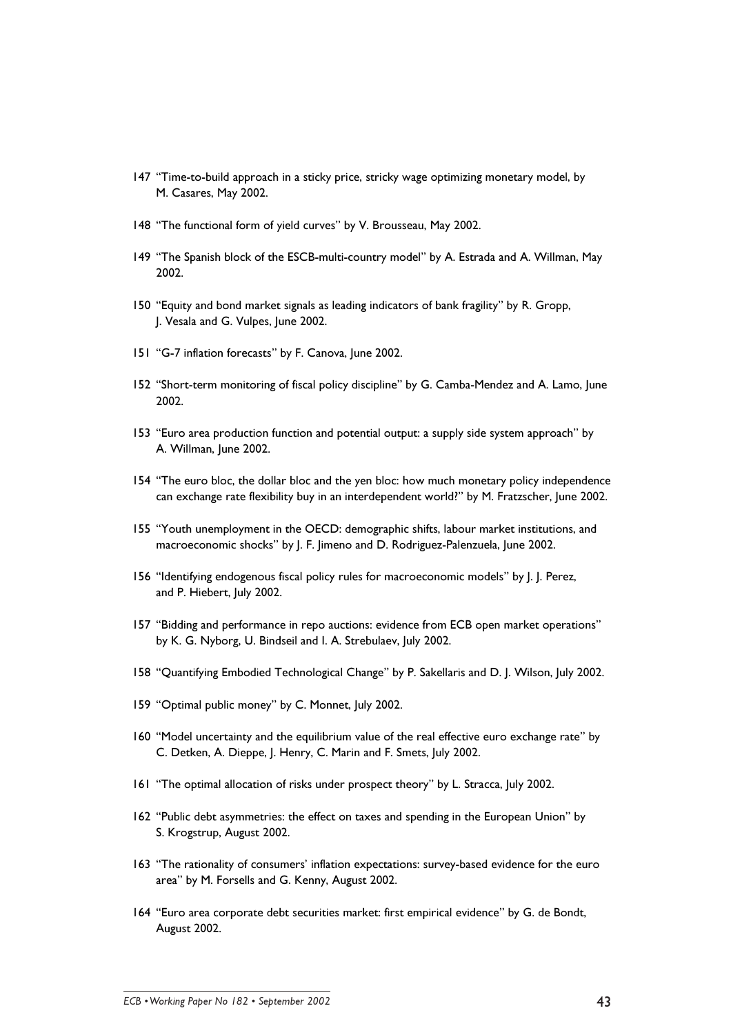- 147 "Time-to-build approach in a sticky price, stricky wage optimizing monetary model, by M. Casares, May 2002.
- 148 "The functional form of yield curves" by V. Brousseau, May 2002.
- 149 "The Spanish block of the ESCB-multi-country model" by A. Estrada and A. Willman, May 2002.
- 150 "Equity and bond market signals as leading indicators of bank fragility" by R. Gropp, J. Vesala and G. Vulpes, June 2002.
- 151 "G-7 inflation forecasts" by F. Canova, June 2002.
- 152 "Short-term monitoring of fiscal policy discipline" by G. Camba-Mendez and A. Lamo, June 2002.
- 153 "Euro area production function and potential output: a supply side system approach" by A. Willman, June 2002.
- 154 "The euro bloc, the dollar bloc and the yen bloc: how much monetary policy independence can exchange rate flexibility buy in an interdependent world?" by M. Fratzscher, June 2002.
- 155 "Youth unemployment in the OECD: demographic shifts, labour market institutions, and macroeconomic shocks" by J. F. Jimeno and D. Rodriguez-Palenzuela, June 2002.
- 156 "Identifying endogenous fiscal policy rules for macroeconomic models" by J. J. Perez, and P. Hiebert, July 2002.
- 157 "Bidding and performance in repo auctions: evidence from ECB open market operations" by K. G. Nyborg, U. Bindseil and I. A. Strebulaev, July 2002.
- 158 "Quantifying Embodied Technological Change" by P. Sakellaris and D. J. Wilson, July 2002.
- 159 "Optimal public money" by C. Monnet, July 2002.
- 160 "Model uncertainty and the equilibrium value of the real effective euro exchange rate" by C. Detken, A. Dieppe, J. Henry, C. Marin and F. Smets, July 2002.
- 161 "The optimal allocation of risks under prospect theory" by L. Stracca, July 2002.
- 162 "Public debt asymmetries: the effect on taxes and spending in the European Union" by S. Krogstrup, August 2002.
- 163 "The rationality of consumers' inflation expectations: survey-based evidence for the euro area" by M. Forsells and G. Kenny, August 2002.
- 164 "Euro area corporate debt securities market: first empirical evidence" by G. de Bondt, August 2002.